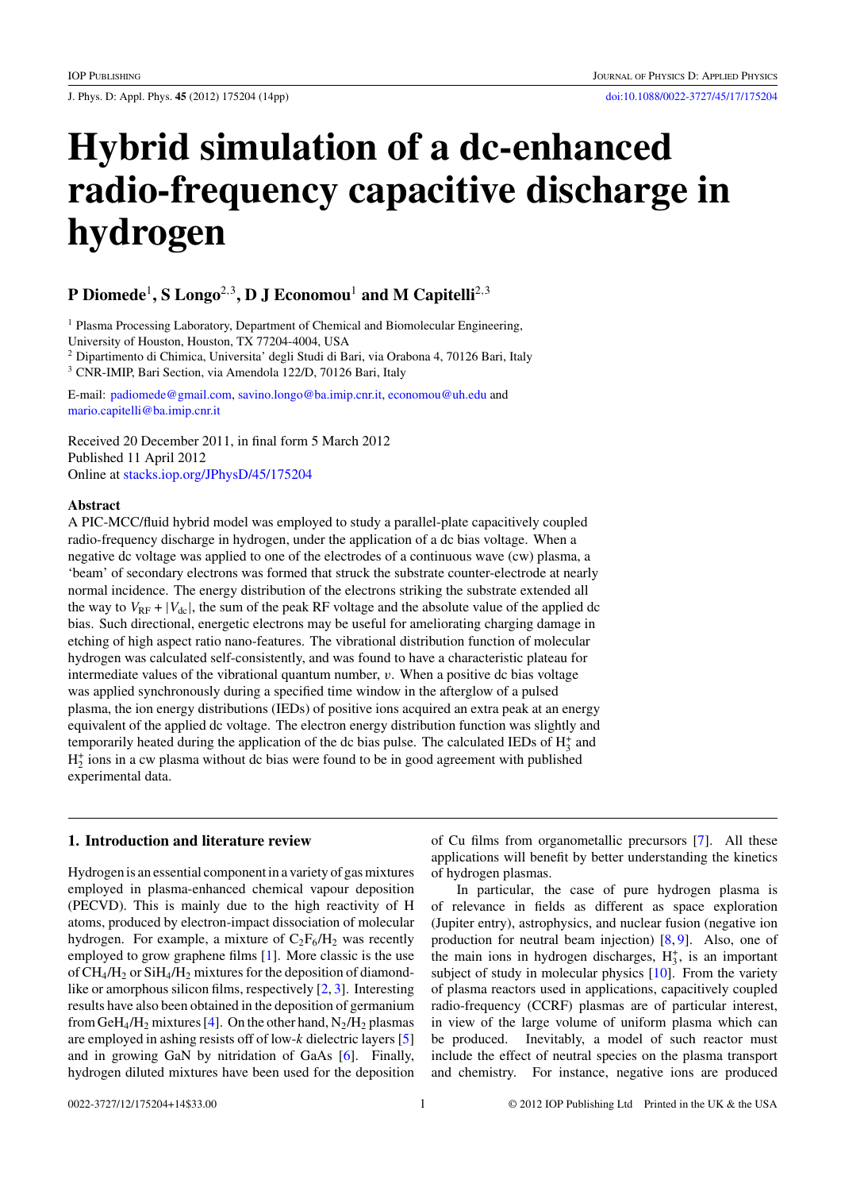J. Phys. D: Appl. Phys. **45** (2012) 175204 (14pp) [doi:10.1088/0022-3727/45/17/175204](http://dx.doi.org/10.1088/0022-3727/45/17/175204)

# **Hybrid simulation of a dc-enhanced radio-frequency capacitive discharge in hydrogen**

# **P Diomede**<sup>1</sup>**, S Longo**<sup>2</sup>*,*<sup>3</sup>**, D J Economou**<sup>1</sup> **and M Capitelli**<sup>2</sup>*,*<sup>3</sup>

<sup>1</sup> Plasma Processing Laboratory, Department of Chemical and Biomolecular Engineering,

University of Houston, Houston, TX 77204-4004, USA

<sup>2</sup> Dipartimento di Chimica, Universita' degli Studi di Bari, via Orabona 4, 70126 Bari, Italy <sup>3</sup> CNR-IMIP, Bari Section, via Amendola 122/D, 70126 Bari, Italy

E-mail: [padiomede@gmail.com,](mailto: padiomede@gmail.com) [savino.longo@ba.imip.cnr.it,](mailto: savino.longo@ba.imip.cnr.it) [economou@uh.edu](mailto: economou@uh.edu) and [mario.capitelli@ba.imip.cnr.it](mailto: mario.capitelli@ba.imip.cnr.it)

Received 20 December 2011, in final form 5 March 2012 Published 11 April 2012 Online at [stacks.iop.org/JPhysD/45/175204](http://stacks.iop.org/JPhysD/45/175204)

# **Abstract**

A PIC-MCC/fluid hybrid model was employed to study a parallel-plate capacitively coupled radio-frequency discharge in hydrogen, under the application of a dc bias voltage. When a negative dc voltage was applied to one of the electrodes of a continuous wave (cw) plasma, a 'beam' of secondary electrons was formed that struck the substrate counter-electrode at nearly normal incidence. The energy distribution of the electrons striking the substrate extended all the way to  $V_{RF} + |V_{dc}|$ , the sum of the peak RF voltage and the absolute value of the applied dc bias. Such directional, energetic electrons may be useful for ameliorating charging damage in etching of high aspect ratio nano-features. The vibrational distribution function of molecular hydrogen was calculated self-consistently, and was found to have a characteristic plateau for intermediate values of the vibrational quantum number, *v*. When a positive dc bias voltage was applied synchronously during a specified time window in the afterglow of a pulsed plasma, the ion energy distributions (IEDs) of positive ions acquired an extra peak at an energy equivalent of the applied dc voltage. The electron energy distribution function was slightly and temporarily heated during the application of the dc bias pulse. The calculated IEDs of  $H_3^+$  and  $H_2^+$  ions in a cw plasma without dc bias were found to be in good agreement with published experimental data.

# **1. Introduction and literature review**

Hydrogen is an essential component in a variety of gas mixtures employed in plasma-enhanced chemical vapour deposition (PECVD). This is mainly due to the high reactivity of H atoms, produced by electron-impact dissociation of molecular hydrogen. For example, a mixture of  $C_2F_6/H_2$  was recently employed to grow graphene films [\[1\]](#page-11-0). More classic is the use of  $CH_4/H_2$  or  $SiH_4/H_2$  mixtures for the deposition of diamondlike or amorphous silicon films, respectively [\[2,](#page-11-0) [3\]](#page-11-0). Interesting results have also been obtained in the deposition of germanium from GeH<sub>4</sub>/H<sub>2</sub> mixtures [\[4\]](#page-11-0). On the other hand,  $N_2/H_2$  plasmas are employed in ashing resists off of low-*k* dielectric layers [\[5\]](#page-11-0) and in growing GaN by nitridation of GaAs [\[6\]](#page-11-0). Finally, hydrogen diluted mixtures have been used for the deposition

of Cu films from organometallic precursors [\[7\]](#page-11-0). All these applications will benefit by better understanding the kinetics of hydrogen plasmas.

In particular, the case of pure hydrogen plasma is of relevance in fields as different as space exploration (Jupiter entry), astrophysics, and nuclear fusion (negative ion production for neutral beam injection) [\[8,](#page-11-0) [9\]](#page-11-0). Also, one of the main ions in hydrogen discharges,  $H_3^+$ , is an important subject of study in molecular physics [\[10\]](#page-11-0). From the variety of plasma reactors used in applications, capacitively coupled radio-frequency (CCRF) plasmas are of particular interest, in view of the large volume of uniform plasma which can be produced. Inevitably, a model of such reactor must include the effect of neutral species on the plasma transport and chemistry. For instance, negative ions are produced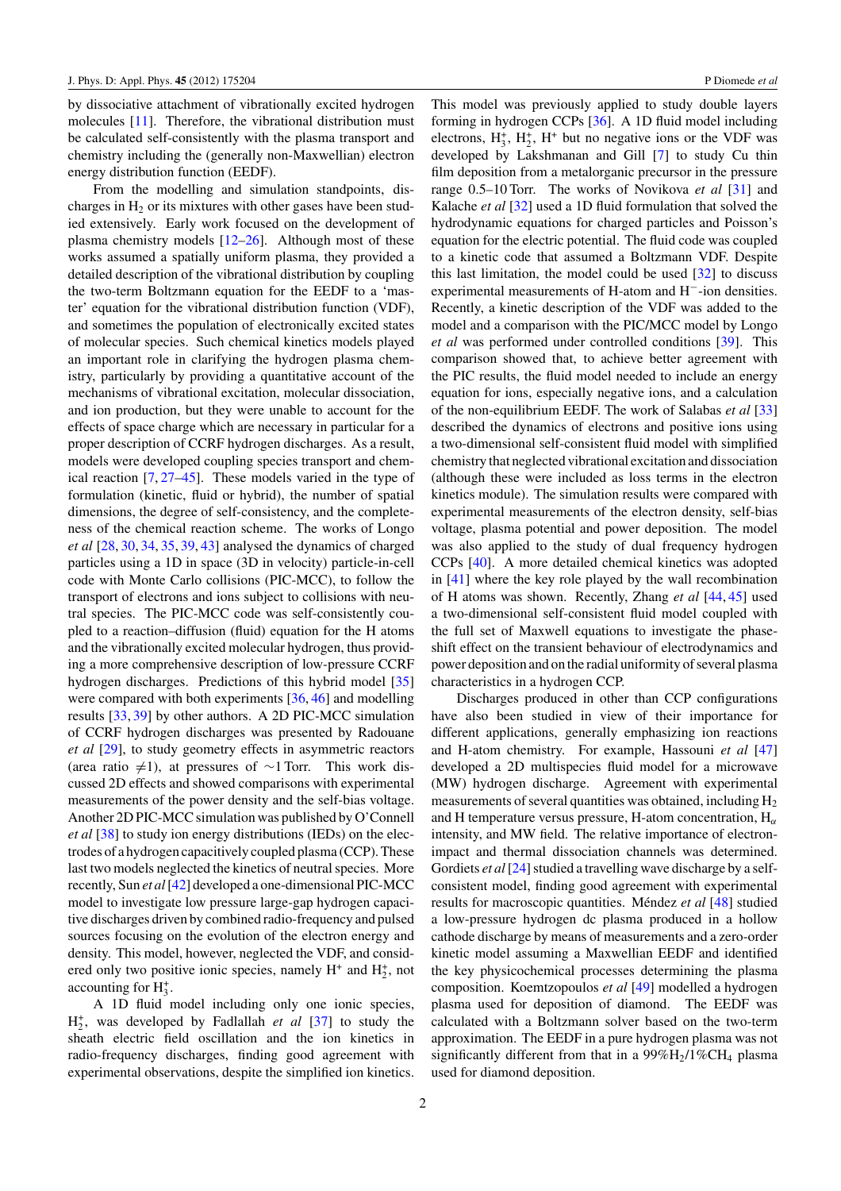by dissociative attachment of vibrationally excited hydrogen molecules [\[11\]](#page-11-0). Therefore, the vibrational distribution must be calculated self-consistently with the plasma transport and chemistry including the (generally non-Maxwellian) electron energy distribution function (EEDF).

From the modelling and simulation standpoints, discharges in  $H_2$  or its mixtures with other gases have been studied extensively. Early work focused on the development of plasma chemistry models  $[12-26]$  $[12-26]$ . Although most of these works assumed a spatially uniform plasma, they provided a detailed description of the vibrational distribution by coupling the two-term Boltzmann equation for the EEDF to a 'master' equation for the vibrational distribution function (VDF), and sometimes the population of electronically excited states of molecular species. Such chemical kinetics models played an important role in clarifying the hydrogen plasma chemistry, particularly by providing a quantitative account of the mechanisms of vibrational excitation, molecular dissociation, and ion production, but they were unable to account for the effects of space charge which are necessary in particular for a proper description of CCRF hydrogen discharges. As a result, models were developed coupling species transport and chemical reaction [\[7,](#page-11-0) [27–45\]](#page-12-0). These models varied in the type of formulation (kinetic, fluid or hybrid), the number of spatial dimensions, the degree of self-consistency, and the completeness of the chemical reaction scheme. The works of Longo *et al* [\[28,](#page-12-0) [30,](#page-12-0) [34,](#page-12-0) [35,](#page-12-0) [39,](#page-12-0) [43\]](#page-12-0) analysed the dynamics of charged particles using a 1D in space (3D in velocity) particle-in-cell code with Monte Carlo collisions (PIC-MCC), to follow the transport of electrons and ions subject to collisions with neutral species. The PIC-MCC code was self-consistently coupled to a reaction–diffusion (fluid) equation for the H atoms and the vibrationally excited molecular hydrogen, thus providing a more comprehensive description of low-pressure CCRF hydrogen discharges. Predictions of this hybrid model [\[35\]](#page-12-0) were compared with both experiments [\[36,](#page-12-0) [46\]](#page-12-0) and modelling results [\[33,](#page-12-0) [39\]](#page-12-0) by other authors. A 2D PIC-MCC simulation of CCRF hydrogen discharges was presented by Radouane *et al* [\[29\]](#page-12-0), to study geometry effects in asymmetric reactors (area ratio  $\neq$ 1), at pressures of ∼1 Torr. This work discussed 2D effects and showed comparisons with experimental measurements of the power density and the self-bias voltage. Another 2D PIC-MCC simulation was published by O'Connell *et al* [\[38\]](#page-12-0) to study ion energy distributions (IEDs) on the electrodes of a hydrogen capacitively coupled plasma (CCP). These last two models neglected the kinetics of neutral species. More recently, Sun *et al*[\[42\]](#page-12-0) developed a one-dimensional PIC-MCC model to investigate low pressure large-gap hydrogen capacitive discharges driven by combined radio-frequency and pulsed sources focusing on the evolution of the electron energy and density. This model, however, neglected the VDF, and considered only two positive ionic species, namely  $H^+$  and  $H_2^+$ , not accounting for  $H_3^+$ .

A 1D fluid model including only one ionic species,  $H_2^+$ , was developed by Fadlallah *et al* [\[37\]](#page-12-0) to study the sheath electric field oscillation and the ion kinetics in radio-frequency discharges, finding good agreement with experimental observations, despite the simplified ion kinetics.

This model was previously applied to study double layers forming in hydrogen CCPs [\[36\]](#page-12-0). A 1D fluid model including electrons,  $H_3^+$ ,  $H_2^+$ ,  $H^+$  but no negative ions or the VDF was developed by Lakshmanan and Gill [\[7\]](#page-11-0) to study Cu thin film deposition from a metalorganic precursor in the pressure range 0.5–10 Torr. The works of Novikova *et al* [\[31\]](#page-12-0) and Kalache *et al* [\[32\]](#page-12-0) used a 1D fluid formulation that solved the hydrodynamic equations for charged particles and Poisson's equation for the electric potential. The fluid code was coupled to a kinetic code that assumed a Boltzmann VDF. Despite this last limitation, the model could be used [\[32\]](#page-12-0) to discuss experimental measurements of H-atom and H−-ion densities. Recently, a kinetic description of the VDF was added to the model and a comparison with the PIC/MCC model by Longo *et al* was performed under controlled conditions [\[39\]](#page-12-0). This comparison showed that, to achieve better agreement with the PIC results, the fluid model needed to include an energy equation for ions, especially negative ions, and a calculation of the non-equilibrium EEDF. The work of Salabas *et al* [\[33\]](#page-12-0) described the dynamics of electrons and positive ions using a two-dimensional self-consistent fluid model with simplified chemistry that neglected vibrational excitation and dissociation (although these were included as loss terms in the electron kinetics module). The simulation results were compared with experimental measurements of the electron density, self-bias voltage, plasma potential and power deposition. The model was also applied to the study of dual frequency hydrogen CCPs [\[40\]](#page-12-0). A more detailed chemical kinetics was adopted in [\[41\]](#page-12-0) where the key role played by the wall recombination of H atoms was shown. Recently, Zhang *et al* [\[44,](#page-12-0) [45\]](#page-12-0) used a two-dimensional self-consistent fluid model coupled with the full set of Maxwell equations to investigate the phaseshift effect on the transient behaviour of electrodynamics and power deposition and on the radial uniformity of several plasma characteristics in a hydrogen CCP.

Discharges produced in other than CCP configurations have also been studied in view of their importance for different applications, generally emphasizing ion reactions and H-atom chemistry. For example, Hassouni *et al* [\[47\]](#page-12-0) developed a 2D multispecies fluid model for a microwave (MW) hydrogen discharge. Agreement with experimental measurements of several quantities was obtained, including  $H_2$ and H temperature versus pressure, H-atom concentration, H*<sup>α</sup>* intensity, and MW field. The relative importance of electronimpact and thermal dissociation channels was determined. Gordiets *et al* [\[24\]](#page-11-0) studied a travelling wave discharge by a selfconsistent model, finding good agreement with experimental results for macroscopic quantities. Méndez et al [\[48\]](#page-12-0) studied a low-pressure hydrogen dc plasma produced in a hollow cathode discharge by means of measurements and a zero-order kinetic model assuming a Maxwellian EEDF and identified the key physicochemical processes determining the plasma composition. Koemtzopoulos *et al* [\[49\]](#page-12-0) modelled a hydrogen plasma used for deposition of diamond. The EEDF was calculated with a Boltzmann solver based on the two-term approximation. The EEDF in a pure hydrogen plasma was not significantly different from that in a  $99\%H_2/1\%CH_4$  plasma used for diamond deposition.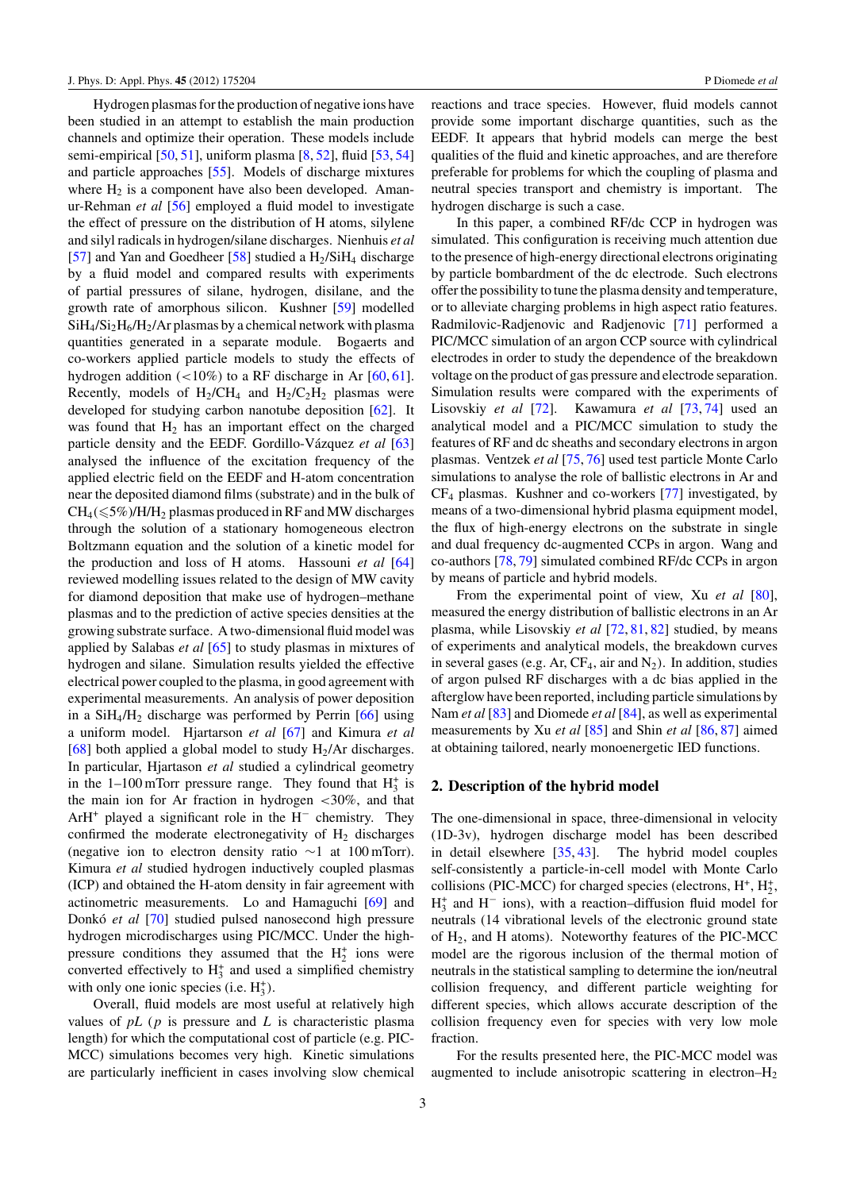Hydrogen plasmas for the production of negative ions have been studied in an attempt to establish the main production channels and optimize their operation. These models include semi-empirical [\[50,](#page-12-0) [51\]](#page-12-0), uniform plasma [\[8,](#page-11-0) [52\]](#page-12-0), fluid [\[53,](#page-12-0) [54\]](#page-12-0) and particle approaches [\[55\]](#page-12-0). Models of discharge mixtures where  $H_2$  is a component have also been developed. Amanur-Rehman *et al* [\[56\]](#page-12-0) employed a fluid model to investigate the effect of pressure on the distribution of H atoms, silylene and silyl radicals in hydrogen/silane discharges. Nienhuis *et al* [\[57\]](#page-12-0) and Yan and Goedheer [\[58\]](#page-12-0) studied a  $H_2/SiH_4$  discharge by a fluid model and compared results with experiments of partial pressures of silane, hydrogen, disilane, and the growth rate of amorphous silicon. Kushner [\[59\]](#page-12-0) modelled  $SiH_4/Si_2H_6/H_2/Ar$  plasmas by a chemical network with plasma quantities generated in a separate module. Bogaerts and co-workers applied particle models to study the effects of hydrogen addition (*<*10%) to a RF discharge in Ar [\[60,](#page-12-0) [61\]](#page-12-0). Recently, models of  $H_2/CH_4$  and  $H_2/C_2H_2$  plasmas were developed for studying carbon nanotube deposition [\[62\]](#page-12-0). It was found that  $H_2$  has an important effect on the charged particle density and the EEDF. Gordillo-Vázquez *et al* [\[63\]](#page-12-0) analysed the influence of the excitation frequency of the applied electric field on the EEDF and H-atom concentration near the deposited diamond films (substrate) and in the bulk of  $CH_4(\leqslant5\%)/H/H_2$  plasmas produced in RF and MW discharges through the solution of a stationary homogeneous electron Boltzmann equation and the solution of a kinetic model for the production and loss of H atoms. Hassouni *et al* [\[64\]](#page-12-0) reviewed modelling issues related to the design of MW cavity for diamond deposition that make use of hydrogen–methane plasmas and to the prediction of active species densities at the growing substrate surface. A two-dimensional fluid model was applied by Salabas *et al* [\[65\]](#page-12-0) to study plasmas in mixtures of hydrogen and silane. Simulation results yielded the effective electrical power coupled to the plasma, in good agreement with experimental measurements. An analysis of power deposition in a  $SiH<sub>4</sub>/H<sub>2</sub>$  discharge was performed by Perrin [\[66\]](#page-12-0) using a uniform model. Hjartarson *et al* [\[67\]](#page-12-0) and Kimura *et al* [\[68\]](#page-12-0) both applied a global model to study  $H_2/Ar$  discharges. In particular, Hjartason *et al* studied a cylindrical geometry in the  $1-100$  mTorr pressure range. They found that  $H_3^+$  is the main ion for Ar fraction in hydrogen *<*30%, and that ArH+ played a significant role in the H<sup>−</sup> chemistry. They confirmed the moderate electronegativity of  $H_2$  discharges (negative ion to electron density ratio ∼1 at 100 mTorr). Kimura *et al* studied hydrogen inductively coupled plasmas (ICP) and obtained the H-atom density in fair agreement with actinometric measurements. Lo and Hamaguchi [\[69\]](#page-12-0) and Donkó *et al* [\[70\]](#page-12-0) studied pulsed nanosecond high pressure hydrogen microdischarges using PIC/MCC. Under the highpressure conditions they assumed that the  $H_2^+$  ions were converted effectively to  $H_3^+$  and used a simplified chemistry with only one ionic species (i.e.  $H_3^+$ ).

Overall, fluid models are most useful at relatively high values of *pL* (*p* is pressure and *L* is characteristic plasma length) for which the computational cost of particle (e.g. PIC-MCC) simulations becomes very high. Kinetic simulations are particularly inefficient in cases involving slow chemical

reactions and trace species. However, fluid models cannot provide some important discharge quantities, such as the EEDF. It appears that hybrid models can merge the best qualities of the fluid and kinetic approaches, and are therefore preferable for problems for which the coupling of plasma and neutral species transport and chemistry is important. The hydrogen discharge is such a case.

In this paper, a combined RF/dc CCP in hydrogen was simulated. This configuration is receiving much attention due to the presence of high-energy directional electrons originating by particle bombardment of the dc electrode. Such electrons offer the possibility to tune the plasma density and temperature, or to alleviate charging problems in high aspect ratio features. Radmilovic-Radjenovic and Radjenovic [\[71\]](#page-12-0) performed a PIC/MCC simulation of an argon CCP source with cylindrical electrodes in order to study the dependence of the breakdown voltage on the product of gas pressure and electrode separation. Simulation results were compared with the experiments of Lisovskiy *et al* [\[72\]](#page-12-0). Kawamura *et al* [\[73,](#page-12-0) [74\]](#page-12-0) used an analytical model and a PIC/MCC simulation to study the features of RF and dc sheaths and secondary electrons in argon plasmas. Ventzek *et al* [\[75,](#page-12-0) [76\]](#page-12-0) used test particle Monte Carlo simulations to analyse the role of ballistic electrons in Ar and CF4 plasmas. Kushner and co-workers [\[77\]](#page-12-0) investigated, by means of a two-dimensional hybrid plasma equipment model, the flux of high-energy electrons on the substrate in single and dual frequency dc-augmented CCPs in argon. Wang and co-authors [\[78,](#page-12-0) [79\]](#page-12-0) simulated combined RF/dc CCPs in argon by means of particle and hybrid models.

From the experimental point of view, Xu *et al* [\[80\]](#page-12-0), measured the energy distribution of ballistic electrons in an Ar plasma, while Lisovskiy *et al* [\[72,](#page-12-0) [81,](#page-12-0) [82\]](#page-12-0) studied, by means of experiments and analytical models, the breakdown curves in several gases (e.g. Ar,  $CF_4$ , air and  $N_2$ ). In addition, studies of argon pulsed RF discharges with a dc bias applied in the afterglow have been reported, including particle simulations by Nam *et al* [\[83\]](#page-12-0) and Diomede *et al* [\[84\]](#page-12-0), as well as experimental measurements by Xu *et al* [\[85\]](#page-12-0) and Shin *et al* [\[86,](#page-12-0) [87\]](#page-12-0) aimed at obtaining tailored, nearly monoenergetic IED functions.

# **2. Description of the hybrid model**

The one-dimensional in space, three-dimensional in velocity (1D-3v), hydrogen discharge model has been described in detail elsewhere [\[35,](#page-12-0) [43\]](#page-12-0). The hybrid model couples self-consistently a particle-in-cell model with Monte Carlo collisions (PIC-MCC) for charged species (electrons,  $H^+, H_2^+,$ H+ <sup>3</sup> and H<sup>−</sup> ions), with a reaction–diffusion fluid model for neutrals (14 vibrational levels of the electronic ground state of H2, and H atoms). Noteworthy features of the PIC-MCC model are the rigorous inclusion of the thermal motion of neutrals in the statistical sampling to determine the ion/neutral collision frequency, and different particle weighting for different species, which allows accurate description of the collision frequency even for species with very low mole fraction.

For the results presented here, the PIC-MCC model was augmented to include anisotropic scattering in electron–H2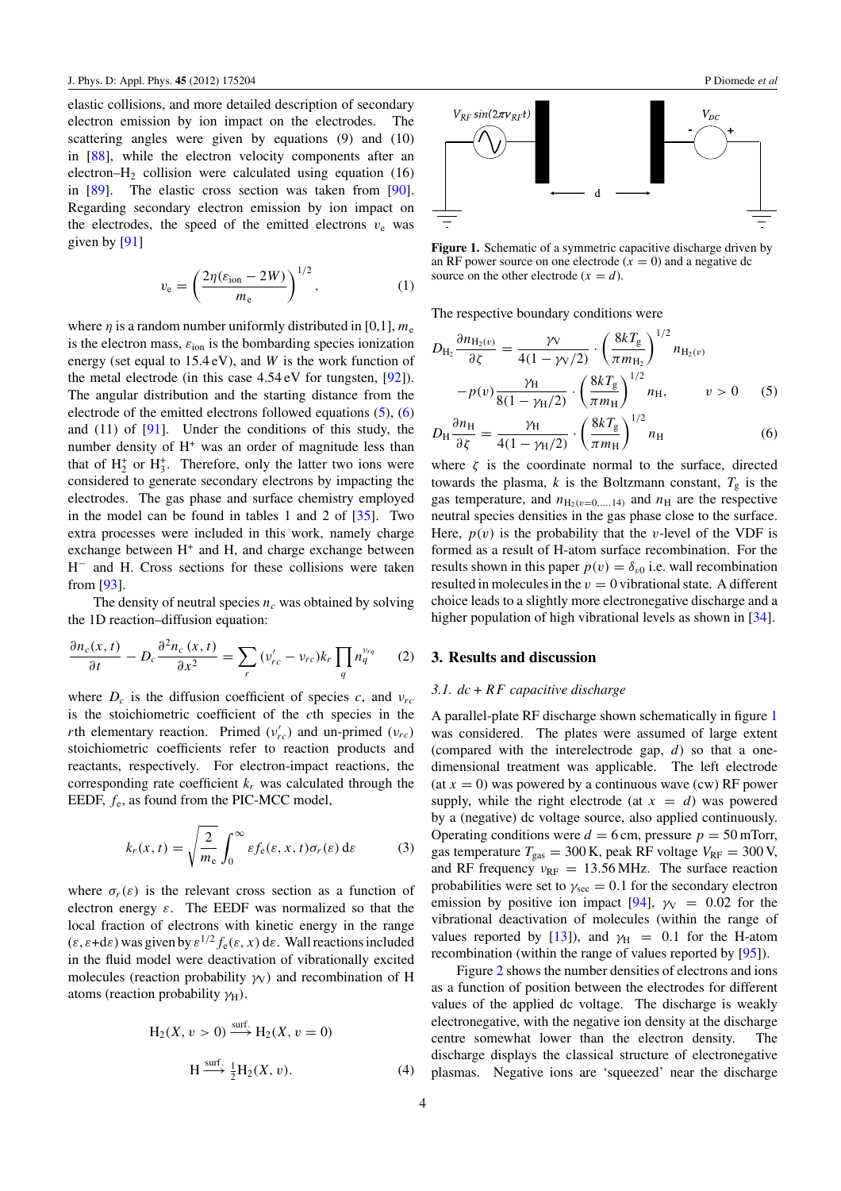elastic collisions, and more detailed description of secondary electron emission by ion impact on the electrodes. The scattering angles were given by equations (9) and (10) in [\[88\]](#page-12-0), while the electron velocity components after an electron– $H_2$  collision were calculated using equation (16) in [\[89\]](#page-12-0). The elastic cross section was taken from [\[90\]](#page-12-0). Regarding secondary electron emission by ion impact on the electrodes, the speed of the emitted electrons  $v_e$  was given by [\[91\]](#page-12-0)

$$
v_{\rm e} = \left(\frac{2\eta(\varepsilon_{\rm ion} - 2W)}{m_{\rm e}}\right)^{1/2},\tag{1}
$$

where  $\eta$  is a random number uniformly distributed in [0,1],  $m_e$ is the electron mass,  $\varepsilon$ <sub>ion</sub> is the bombarding species</sub> ionization energy (set equal to 15.4 eV), and *W* is the work function of the metal electrode (in this case 4.54 eV for tungsten, [\[92\]](#page-12-0)). The angular distribution and the starting distance from the electrode of the emitted electrons followed equations (5), (6) and  $(11)$  of  $[91]$ . Under the conditions of this study, the number density of  $H<sup>+</sup>$  was an order of magnitude less than that of  $H_2^+$  or  $H_3^+$ . Therefore, only the latter two ions were considered to generate secondary electrons by impacting the electrodes. The gas phase and surface chemistry employed in the model can be found in tables 1 and 2 of [\[35\]](#page-12-0). Two extra processes were included in this work, namely charge exchange between  $H^+$  and  $H$ , and charge exchange between H<sup>−</sup> and H. Cross sections for these collisions were taken from [\[93\]](#page-12-0).

The density of neutral species  $n_c$  was obtained by solving the 1D reaction–diffusion equation:

$$
\frac{\partial n_c(x,t)}{\partial t} - D_c \frac{\partial^2 n_c(x,t)}{\partial x^2} = \sum_r (v_{rc}' - v_{rc}) k_r \prod_q n_q^{v_{rq}} \qquad (2)
$$

where  $D_c$  is the diffusion coefficient of species *c*, and  $v_{rc}$ is the stoichiometric coefficient of the *c*th species in the *r*th elementary reaction. Primed ( $v'_{rc}$ ) and un-primed ( $v_{rc}$ ) stoichiometric coefficients refer to reaction products and reactants, respectively. For electron-impact reactions, the corresponding rate coefficient  $k_r$  was calculated through the EEDF, *f*e, as found from the PIC-MCC model,

$$
k_r(x,t) = \sqrt{\frac{2}{m_e}} \int_0^\infty \varepsilon f_e(\varepsilon, x, t) \sigma_r(\varepsilon) d\varepsilon \tag{3}
$$

where  $\sigma_r(\varepsilon)$  is the relevant cross section as a function of electron energy *ε*. The EEDF was normalized so that the local fraction of electrons with kinetic energy in the range  $(\varepsilon, \varepsilon + d\varepsilon)$  was given by  $\varepsilon^{1/2} f_{\varepsilon}(\varepsilon, x)$  d $\varepsilon$ . Wall reactions included in the fluid model were deactivation of vibrationally excited molecules (reaction probability  $\gamma$ <sup>V</sup>*y*) and recombination of H atoms (reaction probability γ<sub>H</sub>).

$$
H_2(X, v > 0) \xrightarrow{\text{surf.}} H_2(X, v = 0)
$$
  
\n
$$
H \xrightarrow{\text{surf.}} \frac{1}{2} H_2(X, v).
$$
 (4)



**Figure 1.** Schematic of a symmetric capacitive discharge driven by an RF power source on one electrode  $(x = 0)$  and a negative dc source on the other electrode  $(x = d)$ .

The respective boundary conditions were

$$
D_{\text{H}_2} \frac{\partial n_{\text{H}_2(v)}}{\partial \zeta} = \frac{\gamma_V}{4(1 - \gamma_V/2)} \cdot \left(\frac{8kT_g}{\pi m_{\text{H}_2}}\right)^{1/2} n_{\text{H}_2(v)}
$$

$$
-p(v) \frac{\gamma_H}{8(1 - \gamma_H/2)} \cdot \left(\frac{8kT_g}{\pi m_H}\right)^{1/2} n_H, \qquad v > 0 \qquad (5)
$$

$$
D_{\rm H} \frac{\partial n_{\rm H}}{\partial \zeta} = \frac{\gamma_{\rm H}}{4(1 - \gamma_{\rm H}/2)} \cdot \left(\frac{8kT_{\rm g}}{\pi m_{\rm H}}\right)^{1/2} n_{\rm H} \tag{6}
$$

where  $\zeta$  is the coordinate normal to the surface, directed towards the plasma,  $k$  is the Boltzmann constant,  $T_g$  is the gas temperature, and  $n_{\text{H}_2(v=0,\dots,14)}$  and  $n_{\text{H}}$  are the respective neutral species densities in the gas phase close to the surface. Here,  $p(v)$  is the probability that the *v*-level of the VDF is formed as a result of H-atom surface recombination. For the results shown in this paper  $p(v) = \delta_{v0}$  i.e. wall recombination resulted in molecules in the  $v = 0$  vibrational state. A different choice leads to a slightly more electronegative discharge and a higher population of high vibrational levels as shown in [\[34\]](#page-12-0).

# **3. Results and discussion**

#### *3.1. dc* + *RF capacitive discharge*

A parallel-plate RF discharge shown schematically in figure 1 was considered. The plates were assumed of large extent (compared with the interelectrode gap, *d*) so that a onedimensional treatment was applicable. The left electrode (at  $x = 0$ ) was powered by a continuous wave (cw) RF power supply, while the right electrode (at  $x = d$ ) was powered by a (negative) dc voltage source, also applied continuously. Operating conditions were  $d = 6$  cm, pressure  $p = 50$  mTorr, gas temperature  $T_{\text{gas}} = 300 \text{ K}$ , peak RF voltage  $V_{\text{RF}} = 300 \text{ V}$ , and RF frequency  $v_{RF} = 13.56 \text{ MHz}$ . The surface reaction probabilities were set to  $\gamma_{\text{sec}} = 0.1$  for the secondary electron emission by positive ion impact [\[94\]](#page-12-0),  $\gamma$ <sub>V</sub> = 0.02 for the vibrational deactivation of molecules (within the range of values reported by [\[13\]](#page-11-0)), and  $\gamma_H = 0.1$  for the H-atom recombination (within the range of values reported by [\[95\]](#page-12-0)).

Figure [2](#page-4-0) shows the number densities of electrons and ions as a function of position between the electrodes for different values of the applied dc voltage. The discharge is weakly electronegative, with the negative ion density at the discharge centre somewhat lower than the electron density. The discharge displays the classical structure of electronegative plasmas. Negative ions are 'squeezed' near the discharge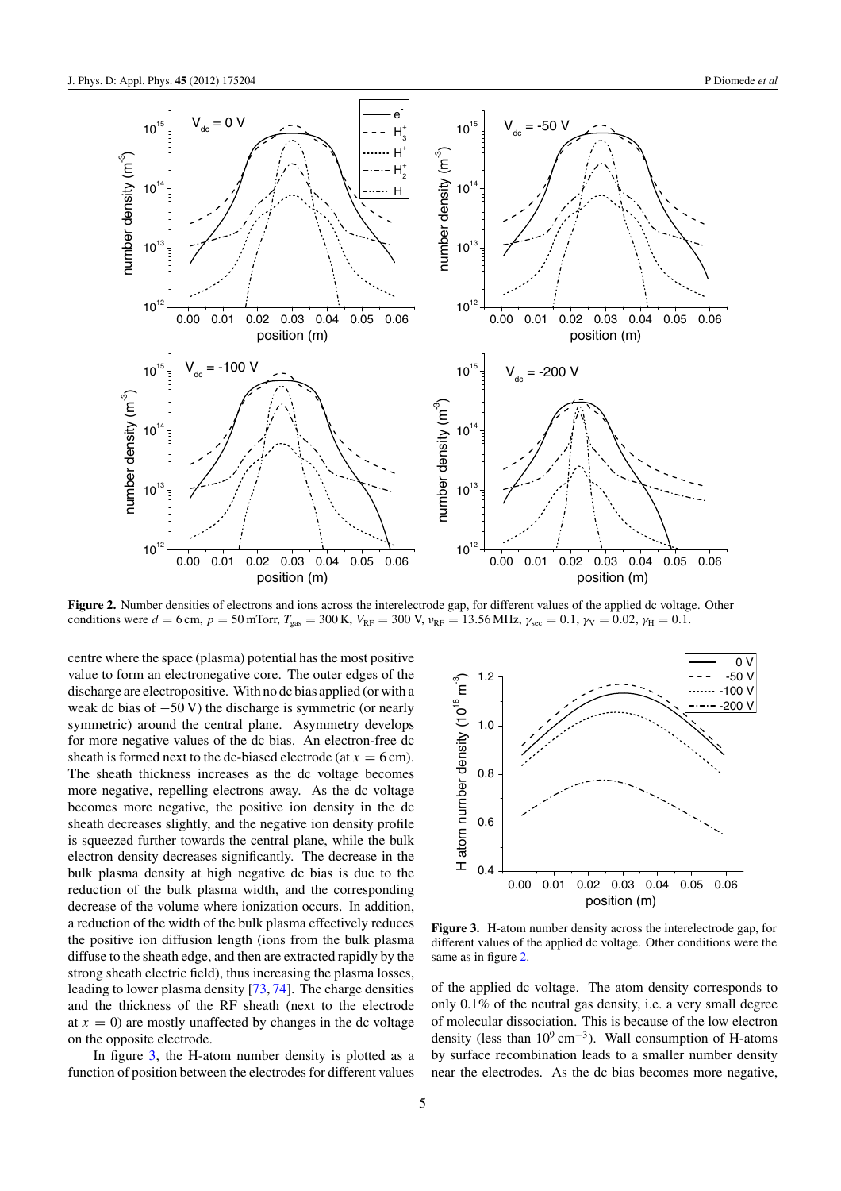<span id="page-4-0"></span>

**Figure 2.** Number densities of electrons and ions across the interelectrode gap, for different values of the applied dc voltage. Other conditions were  $d = 6$  cm,  $p = 50$  mTorr,  $T_{\text{gas}} = 300$  K,  $V_{\text{RF}} = 300$  V,  $v_{\text{RF}} = 13.56$  MHz,  $\gamma_{\text{sec}} = 0.1$ ,  $\gamma_{\text{V}} = 0.02$ ,  $\gamma_{\text{H}} = 0.1$ .

centre where the space (plasma) potential has the most positive value to form an electronegative core. The outer edges of the discharge are electropositive. With no dc bias applied (or with a weak dc bias of  $-50$  V) the discharge is symmetric (or nearly symmetric) around the central plane. Asymmetry develops for more negative values of the dc bias. An electron-free dc sheath is formed next to the dc-biased electrode (at  $x = 6$  cm). The sheath thickness increases as the dc voltage becomes more negative, repelling electrons away. As the dc voltage becomes more negative, the positive ion density in the dc sheath decreases slightly, and the negative ion density profile is squeezed further towards the central plane, while the bulk electron density decreases significantly. The decrease in the bulk plasma density at high negative dc bias is due to the reduction of the bulk plasma width, and the corresponding decrease of the volume where ionization occurs. In addition, a reduction of the width of the bulk plasma effectively reduces the positive ion diffusion length (ions from the bulk plasma diffuse to the sheath edge, and then are extracted rapidly by the strong sheath electric field), thus increasing the plasma losses, leading to lower plasma density [\[73,](#page-12-0) [74\]](#page-12-0). The charge densities and the thickness of the RF sheath (next to the electrode at  $x = 0$ ) are mostly unaffected by changes in the dc voltage on the opposite electrode.

In figure 3, the H-atom number density is plotted as a function of position between the electrodes for different values



**Figure 3.** H-atom number density across the interelectrode gap, for different values of the applied dc voltage. Other conditions were the same as in figure 2.

of the applied dc voltage. The atom density corresponds to only 0.1% of the neutral gas density, i.e. a very small degree of molecular dissociation. This is because of the low electron density (less than  $10^9$  cm<sup>-3</sup>). Wall consumption of H-atoms by surface recombination leads to a smaller number density near the electrodes. As the dc bias becomes more negative,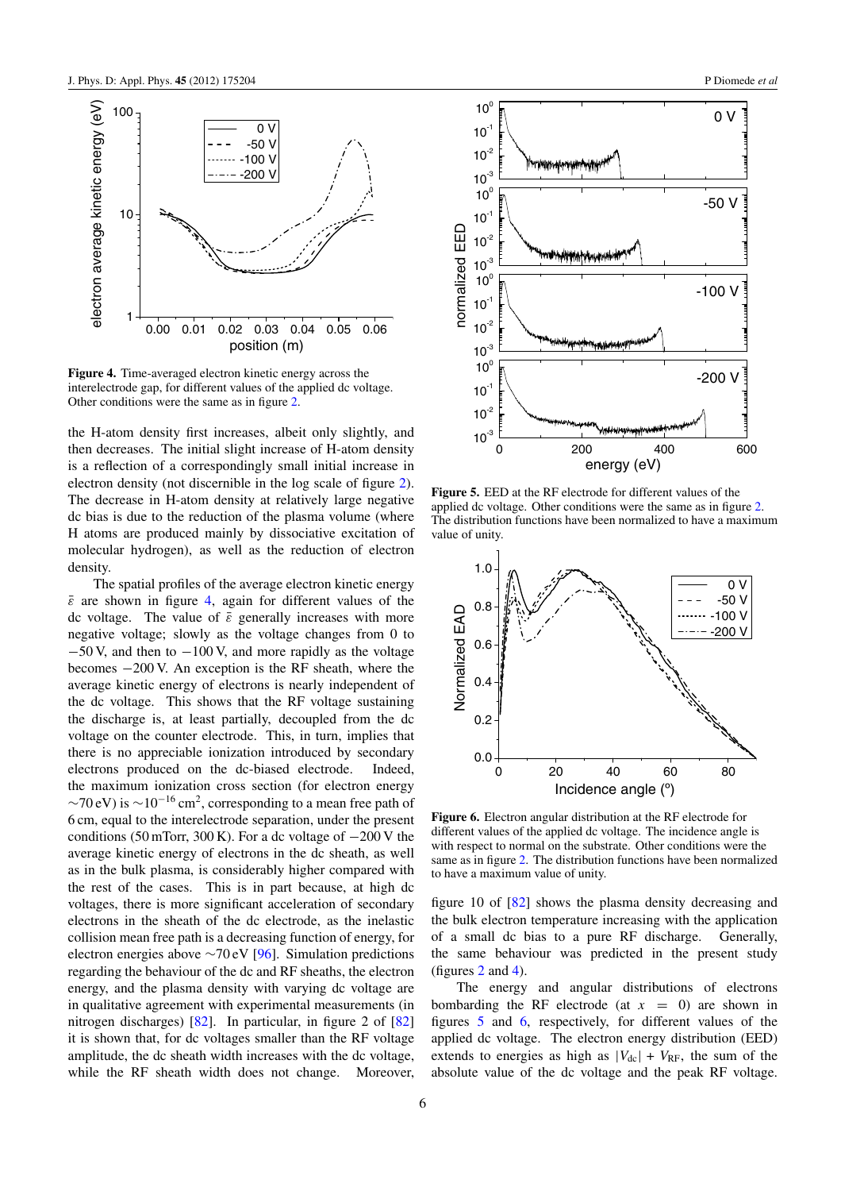<span id="page-5-0"></span>

**Figure 4.** Time-averaged electron kinetic energy across the interelectrode gap, for different values of the applied dc voltage. Other conditions were the same as in figure [2.](#page-4-0)

the H-atom density first increases, albeit only slightly, and then decreases. The initial slight increase of H-atom density is a reflection of a correspondingly small initial increase in electron density (not discernible in the log scale of figure [2\)](#page-4-0). The decrease in H-atom density at relatively large negative dc bias is due to the reduction of the plasma volume (where H atoms are produced mainly by dissociative excitation of molecular hydrogen), as well as the reduction of electron density.

The spatial profiles of the average electron kinetic energy  $\bar{\varepsilon}$  are shown in figure 4, again for different values of the dc voltage. The value of  $\bar{\varepsilon}$  generally increases with more negative voltage; slowly as the voltage changes from 0 to −50 V, and then to −100 V, and more rapidly as the voltage becomes −200 V. An exception is the RF sheath, where the average kinetic energy of electrons is nearly independent of the dc voltage. This shows that the RF voltage sustaining the discharge is, at least partially, decoupled from the dc voltage on the counter electrode. This, in turn, implies that there is no appreciable ionization introduced by secondary electrons produced on the dc-biased electrode. Indeed, the maximum ionization cross section (for electron energy  $\sim$ 70 eV) is  $\sim$ 10<sup>-16</sup> cm<sup>2</sup>, corresponding to a mean free path of 6 cm, equal to the interelectrode separation, under the present conditions (50 mTorr, 300 K). For a dc voltage of  $-200$  V the average kinetic energy of electrons in the dc sheath, as well as in the bulk plasma, is considerably higher compared with the rest of the cases. This is in part because, at high dc voltages, there is more significant acceleration of secondary electrons in the sheath of the dc electrode, as the inelastic collision mean free path is a decreasing function of energy, for electron energies above ∼70 eV [\[96\]](#page-13-0). Simulation predictions regarding the behaviour of the dc and RF sheaths, the electron energy, and the plasma density with varying dc voltage are in qualitative agreement with experimental measurements (in nitrogen discharges) [\[82\]](#page-12-0). In particular, in figure 2 of [\[82\]](#page-12-0) it is shown that, for dc voltages smaller than the RF voltage amplitude, the dc sheath width increases with the dc voltage, while the RF sheath width does not change. Moreover,



**Figure 5.** EED at the RF electrode for different values of the applied dc voltage. Other conditions were the same as in figure [2.](#page-4-0) The distribution functions have been normalized to have a maximum value of unity.



**Figure 6.** Electron angular distribution at the RF electrode for different values of the applied dc voltage. The incidence angle is with respect to normal on the substrate. Other conditions were the same as in figure [2.](#page-4-0) The distribution functions have been normalized to have a maximum value of unity.

figure 10 of [\[82\]](#page-12-0) shows the plasma density decreasing and the bulk electron temperature increasing with the application of a small dc bias to a pure RF discharge. Generally, the same behaviour was predicted in the present study (figures  $2$  and  $4$ ).

The energy and angular distributions of electrons bombarding the RF electrode (at  $x = 0$ ) are shown in figures 5 and 6, respectively, for different values of the applied dc voltage. The electron energy distribution (EED) extends to energies as high as  $|V_{dc}| + V_{RF}$ , the sum of the absolute value of the dc voltage and the peak RF voltage.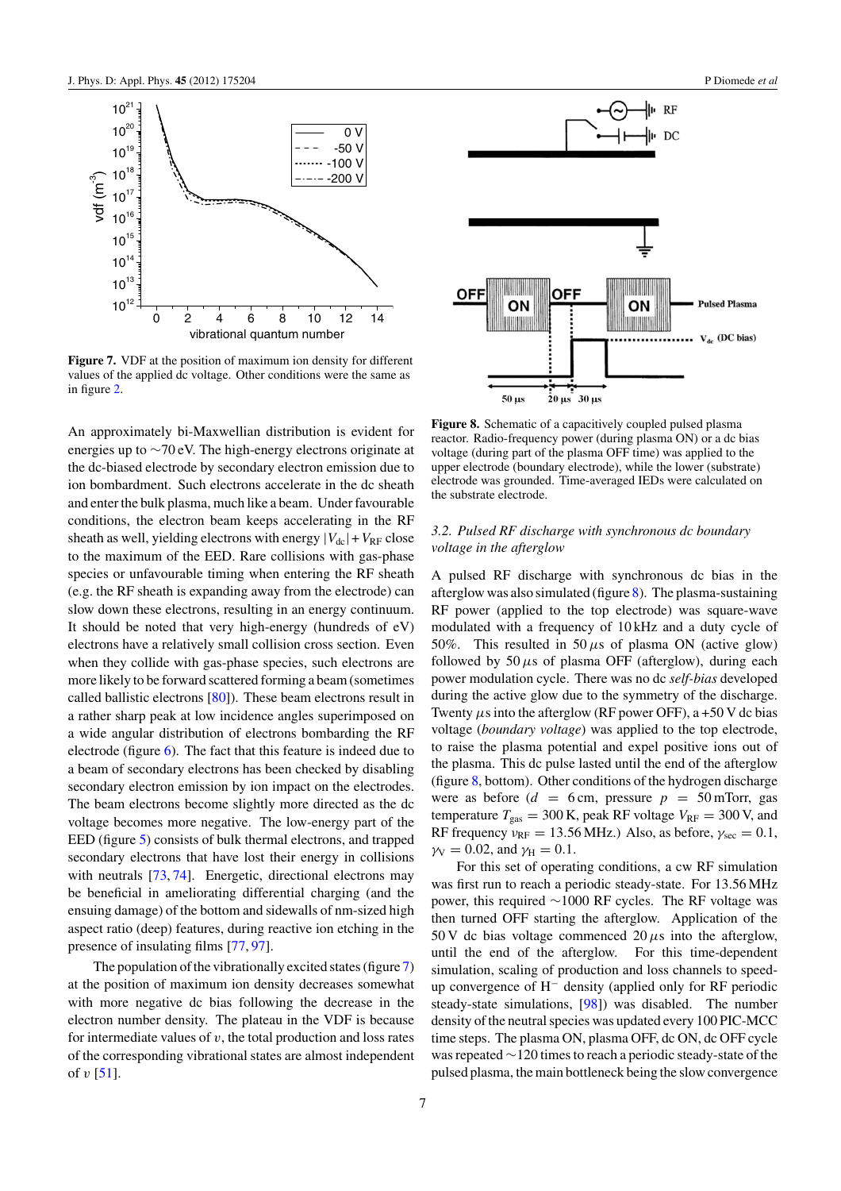<span id="page-6-0"></span>

**Figure 7.** VDF at the position of maximum ion density for different values of the applied dc voltage. Other conditions were the same as in figure [2.](#page-4-0)

An approximately bi-Maxwellian distribution is evident for energies up to ∼70 eV. The high-energy electrons originate at the dc-biased electrode by secondary electron emission due to ion bombardment. Such electrons accelerate in the dc sheath and enter the bulk plasma, much like a beam. Under favourable conditions, the electron beam keeps accelerating in the RF sheath as well, yielding electrons with energy  $|V_{dc}| + V_{RF}$  close to the maximum of the EED. Rare collisions with gas-phase species or unfavourable timing when entering the RF sheath (e.g. the RF sheath is expanding away from the electrode) can slow down these electrons, resulting in an energy continuum. It should be noted that very high-energy (hundreds of eV) electrons have a relatively small collision cross section. Even when they collide with gas-phase species, such electrons are more likely to be forward scattered forming a beam (sometimes called ballistic electrons [\[80\]](#page-12-0)). These beam electrons result in a rather sharp peak at low incidence angles superimposed on a wide angular distribution of electrons bombarding the RF electrode (figure [6\)](#page-5-0). The fact that this feature is indeed due to a beam of secondary electrons has been checked by disabling secondary electron emission by ion impact on the electrodes. The beam electrons become slightly more directed as the dc voltage becomes more negative. The low-energy part of the EED (figure [5\)](#page-5-0) consists of bulk thermal electrons, and trapped secondary electrons that have lost their energy in collisions with neutrals [\[73,](#page-12-0) [74\]](#page-12-0). Energetic, directional electrons may be beneficial in ameliorating differential charging (and the ensuing damage) of the bottom and sidewalls of nm-sized high aspect ratio (deep) features, during reactive ion etching in the presence of insulating films [\[77,](#page-12-0) [97\]](#page-13-0).

The population of the vibrationally excited states (figure 7) at the position of maximum ion density decreases somewhat with more negative dc bias following the decrease in the electron number density. The plateau in the VDF is because for intermediate values of  $v$ , the total production and loss rates of the corresponding vibrational states are almost independent of  $v$  [\[51\]](#page-12-0).



**Figure 8.** Schematic of a capacitively coupled pulsed plasma reactor. Radio-frequency power (during plasma ON) or a dc bias voltage (during part of the plasma OFF time) was applied to the upper electrode (boundary electrode), while the lower (substrate) electrode was grounded. Time-averaged IEDs were calculated on the substrate electrode.

# *3.2. Pulsed RF discharge with synchronous dc boundary voltage in the afterglow*

A pulsed RF discharge with synchronous dc bias in the afterglow was also simulated (figure 8). The plasma-sustaining RF power (applied to the top electrode) was square-wave modulated with a frequency of 10 kHz and a duty cycle of 50%. This resulted in 50  $\mu$ s of plasma ON (active glow) followed by  $50 \mu s$  of plasma OFF (afterglow), during each power modulation cycle. There was no dc *self-bias* developed during the active glow due to the symmetry of the discharge. Twenty  $\mu$ s into the afterglow (RF power OFF), a +50 V dc bias voltage (*boundary voltage*) was applied to the top electrode, to raise the plasma potential and expel positive ions out of the plasma. This dc pulse lasted until the end of the afterglow (figure 8, bottom). Other conditions of the hydrogen discharge were as before  $(d = 6 \text{ cm}, \text{ pressure } p = 50 \text{ m}$ Torr, gas temperature  $T_{\text{gas}} = 300 \text{ K}$ , peak RF voltage  $V_{\text{RF}} = 300 \text{ V}$ , and RF frequency  $v_{RF} = 13.56 \text{ MHz}$ .) Also, as before,  $\gamma_{sec} = 0.1$ ,  $\gamma_V = 0.02$ , and  $\gamma_H = 0.1$ .

For this set of operating conditions, a cw RF simulation was first run to reach a periodic steady-state. For 13.56 MHz power, this required ∼1000 RF cycles. The RF voltage was then turned OFF starting the afterglow. Application of the 50 V dc bias voltage commenced  $20 \mu s$  into the afterglow, until the end of the afterglow. For this time-dependent simulation, scaling of production and loss channels to speedup convergence of H<sup>−</sup> density (applied only for RF periodic steady-state simulations, [\[98\]](#page-13-0)) was disabled. The number density of the neutral species was updated every 100 PIC-MCC time steps. The plasma ON, plasma OFF, dc ON, dc OFF cycle was repeated ∼120 times to reach a periodic steady-state of the pulsed plasma, the main bottleneck being the slow convergence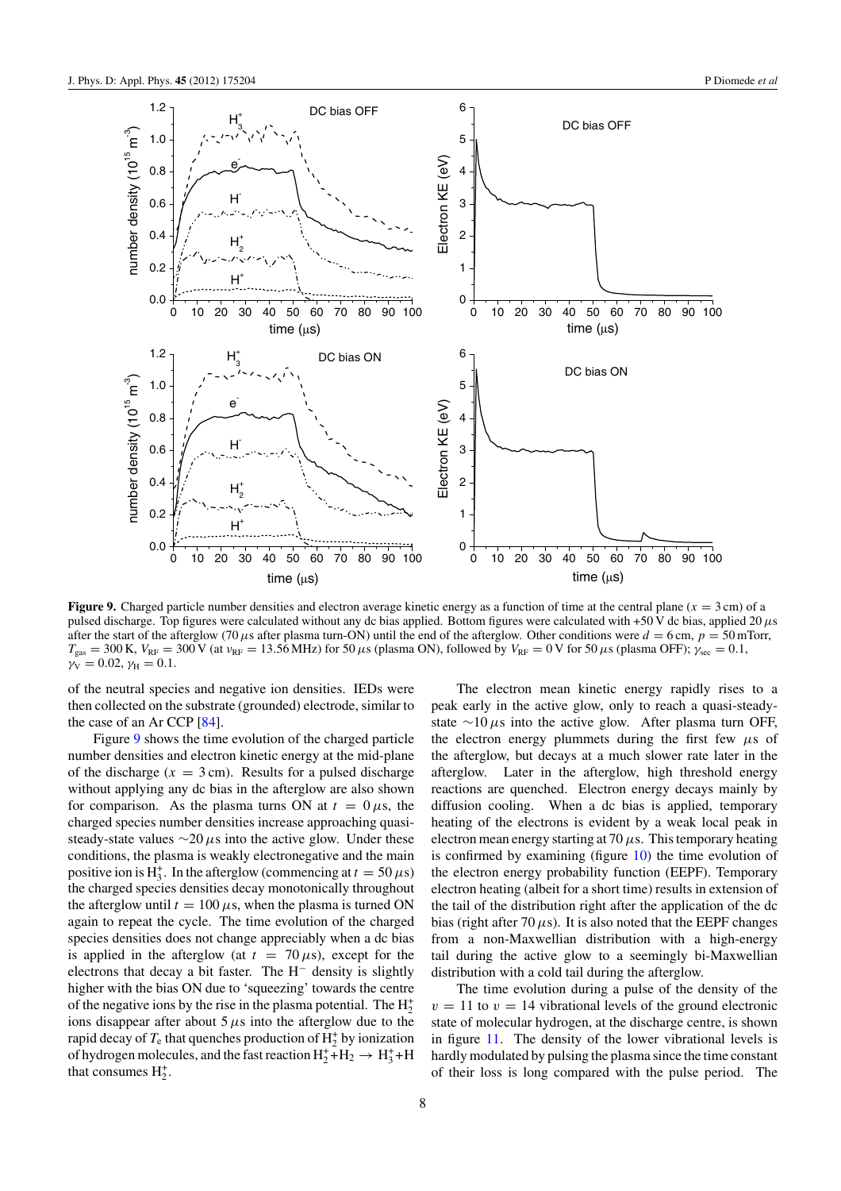<span id="page-7-0"></span>

**Figure 9.** Charged particle number densities and electron average kinetic energy as a function of time at the central plane  $(x = 3 \text{ cm})$  of a pulsed discharge. Top figures were calculated without any dc bias applied. Bottom figures were calculated with +50 V dc bias, applied 20*µ*s after the start of the afterglow (70  $\mu$ s after plasma turn-ON) until the end of the afterglow. Other conditions were  $d = 6$  cm,  $p = 50$  mTorr,  $T_{\text{gas}} = 300 \text{ K}$ ,  $V_{\text{RF}} = 300 \text{ V}$  (at  $v_{\text{RF}} = 13.56 \text{ MHz}$ ) for 50  $\mu$ s (plasma ON), followed by  $V_{\text{RF}} = 0 \text{ V}$  for 50  $\mu$ s (plasma OFF);  $\gamma_{\text{sec}} = 0.1$ ,  $\gamma_{\rm V} = 0.02, \gamma_{\rm H} = 0.1.$ 

of the neutral species and negative ion densities. IEDs were then collected on the substrate (grounded) electrode, similar to the case of an Ar CCP [\[84\]](#page-12-0).

Figure 9 shows the time evolution of the charged particle number densities and electron kinetic energy at the mid-plane of the discharge  $(x = 3 \text{ cm})$ . Results for a pulsed discharge without applying any dc bias in the afterglow are also shown for comparison. As the plasma turns ON at  $t = 0 \mu s$ , the charged species number densities increase approaching quasisteady-state values ∼20 *µ*s into the active glow. Under these conditions, the plasma is weakly electronegative and the main positive ion is H<sub>3</sub><sup>+</sup>. In the afterglow (commencing at  $t = 50 \,\mu s$ ) the charged species densities decay monotonically throughout the afterglow until  $t = 100 \,\mu s$ , when the plasma is turned ON again to repeat the cycle. The time evolution of the charged species densities does not change appreciably when a dc bias is applied in the afterglow (at  $t = 70 \,\mu s$ ), except for the electrons that decay a bit faster. The H<sup>−</sup> density is slightly higher with the bias ON due to 'squeezing' towards the centre of the negative ions by the rise in the plasma potential. The  $H_2^+$ ions disappear after about  $5 \mu s$  into the afterglow due to the rapid decay of  $T_e$  that quenches production of  $H_2^+$  by ionization of hydrogen molecules, and the fast reaction  $H_2^+$ + $H_2 \rightarrow H_3^+$ +H that consumes  $H_2^+$ .

The electron mean kinetic energy rapidly rises to a peak early in the active glow, only to reach a quasi-steadystate ∼10 *µ*s into the active glow. After plasma turn OFF, the electron energy plummets during the first few  $\mu$ s of the afterglow, but decays at a much slower rate later in the afterglow. Later in the afterglow, high threshold energy reactions are quenched. Electron energy decays mainly by diffusion cooling. When a dc bias is applied, temporary heating of the electrons is evident by a weak local peak in electron mean energy starting at 70*µ*s. This temporary heating is confirmed by examining (figure [10\)](#page-8-0) the time evolution of the electron energy probability function (EEPF). Temporary electron heating (albeit for a short time) results in extension of the tail of the distribution right after the application of the dc bias (right after 70 $\mu$ s). It is also noted that the EEPF changes from a non-Maxwellian distribution with a high-energy tail during the active glow to a seemingly bi-Maxwellian distribution with a cold tail during the afterglow.

The time evolution during a pulse of the density of the  $v = 11$  to  $v = 14$  vibrational levels of the ground electronic state of molecular hydrogen, at the discharge centre, is shown in figure [11.](#page-8-0) The density of the lower vibrational levels is hardly modulated by pulsing the plasma since the time constant of their loss is long compared with the pulse period. The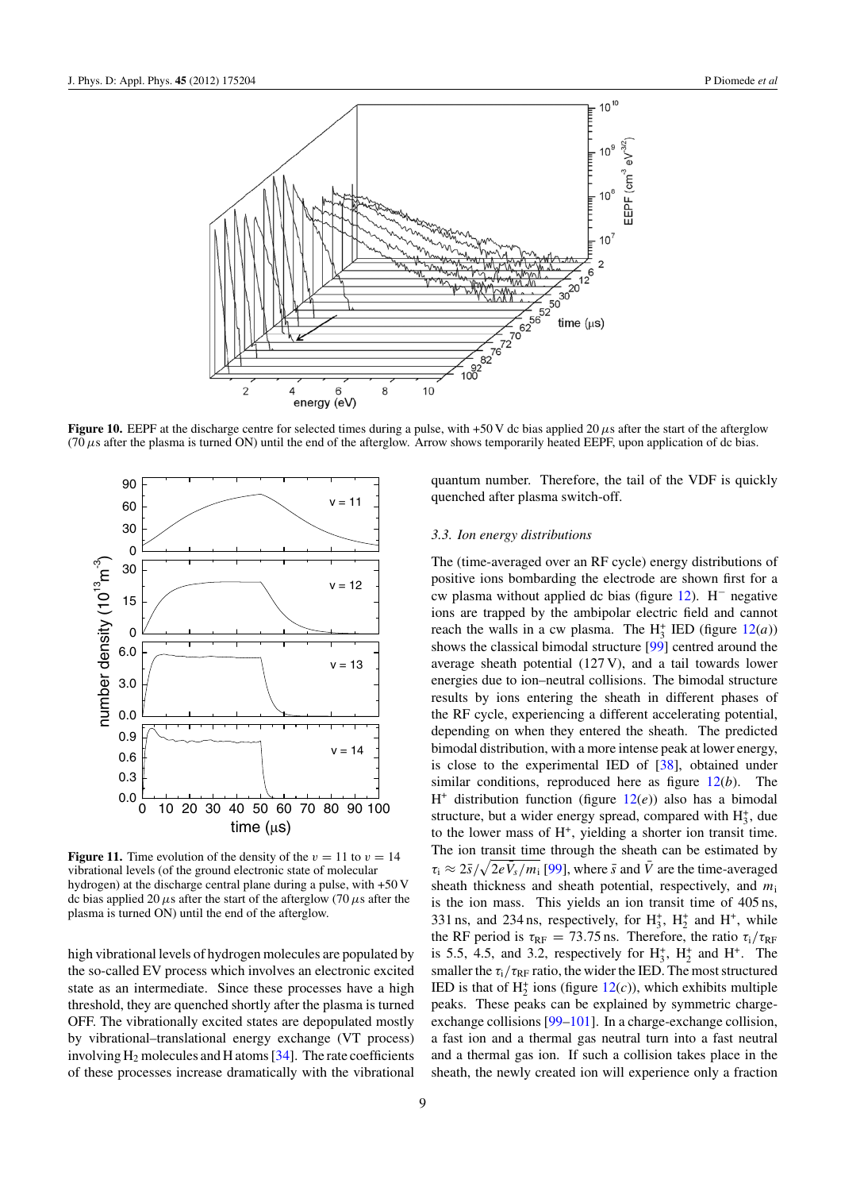<span id="page-8-0"></span>

**Figure 10.** EEPF at the discharge centre for selected times during a pulse, with +50 V dc bias applied 20  $\mu$ s after the start of the afterglow (70 $\mu$ s after the plasma is turned ON) until the end of the afterglow. Arrow shows temporarily heated EEPF, upon application of dc bias.



**Figure 11.** Time evolution of the density of the  $v = 11$  to  $v = 14$ vibrational levels (of the ground electronic state of molecular hydrogen) at the discharge central plane during a pulse, with +50 V dc bias applied 20  $\mu$ s after the start of the afterglow (70  $\mu$ s after the plasma is turned ON) until the end of the afterglow.

high vibrational levels of hydrogen molecules are populated by the so-called EV process which involves an electronic excited state as an intermediate. Since these processes have a high threshold, they are quenched shortly after the plasma is turned OFF. The vibrationally excited states are depopulated mostly by vibrational–translational energy exchange (VT process) involving  $H_2$  molecules and H atoms [\[34\]](#page-12-0). The rate coefficients of these processes increase dramatically with the vibrational quantum number. Therefore, the tail of the VDF is quickly quenched after plasma switch-off.

#### *3.3. Ion energy distributions*

The (time-averaged over an RF cycle) energy distributions of positive ions bombarding the electrode are shown first for a cw plasma without applied dc bias (figure [12\)](#page-9-0). H<sup>−</sup> negative ions are trapped by the ambipolar electric field and cannot reach the walls in a cw plasma. The  $H_3^+$  IED (figure  $12(a)$  $12(a)$ ) shows the classical bimodal structure [\[99\]](#page-13-0) centred around the average sheath potential (127 V), and a tail towards lower energies due to ion–neutral collisions. The bimodal structure results by ions entering the sheath in different phases of the RF cycle, experiencing a different accelerating potential, depending on when they entered the sheath. The predicted bimodal distribution, with a more intense peak at lower energy, is close to the experimental IED of [\[38\]](#page-12-0), obtained under similar conditions, reproduced here as figure [12\(](#page-9-0)*b*). The  $H^+$  distribution function (figure  $12(e)$  $12(e)$ ) also has a bimodal structure, but a wider energy spread, compared with  $H_3^+$ , due to the lower mass of  $H^+$ , yielding a shorter ion transit time. The ion transit time through the sheath can be estimated by  $\tau_i \approx 2\bar{s}/\sqrt{2e\bar{V}_s/m_i}$  [\[99\]](#page-13-0), where  $\bar{s}$  and  $\bar{V}$  are the time-averaged sheath thickness and sheath potential, respectively, and *m*<sup>i</sup> is the ion mass. This yields an ion transit time of 405 ns, 331 ns, and 234 ns, respectively, for  $H_3^+$ ,  $H_2^+$  and  $H^+$ , while the RF period is  $\tau_{RF} = 73.75$  ns. Therefore, the ratio  $\tau_i/\tau_{RF}$ is 5.5, 4.5, and 3.2, respectively for  $H_3^+$ ,  $H_2^+$  and  $H^+$ . The smaller the  $\tau_i/\tau_{RF}$  ratio, the wider the IED. The most structured IED is that of  $H_2^+$  ions (figure  $12(c)$  $12(c)$ ), which exhibits multiple peaks. These peaks can be explained by symmetric chargeexchange collisions [\[99–101\]](#page-13-0). In a charge-exchange collision, a fast ion and a thermal gas neutral turn into a fast neutral and a thermal gas ion. If such a collision takes place in the sheath, the newly created ion will experience only a fraction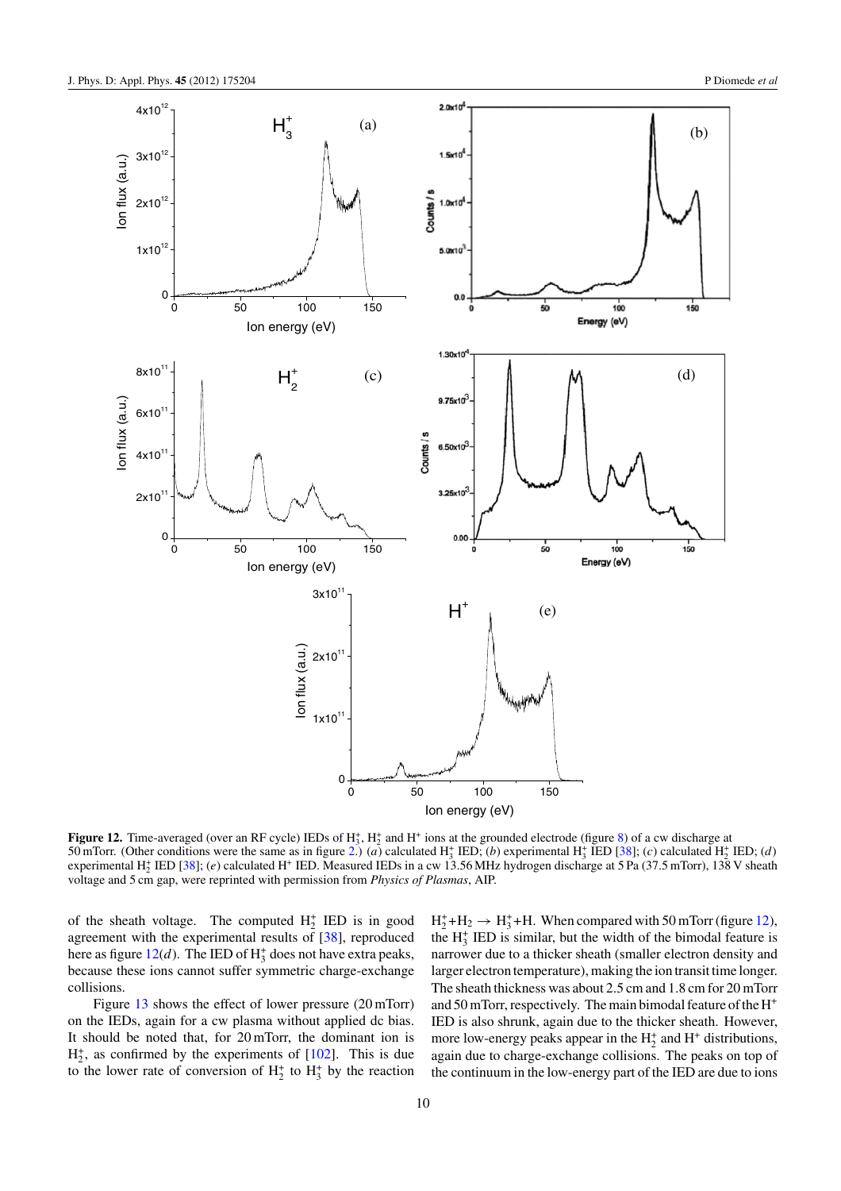<span id="page-9-0"></span>

**Figure 12.** Time-averaged (over an RF cycle) IEDs of  $H_3^*$ ,  $H_2^*$  and H<sup>+</sup> ions at the grounded electrode (figure [8\)](#page-6-0) of a cw discharge at 50 mTorr. (Other conditions were the same as in figure [2.](#page-4-0))  $(a)$  calculated H<sub>3</sub><sup>+</sup> IED;  $(b)$  experimental H<sub>3</sub><sup>+</sup> IED [\[38\]](#page-12-0);  $(c)$  calculated H<sub>2</sub><sup>+</sup> IED;  $(d)$ experimental H<sup>+</sup> <sup>2</sup> IED [\[38\]](#page-12-0); (*e*) calculated H<sup>+</sup> IED. Measured IEDs in a cw 13.56 MHz hydrogen discharge at 5 Pa (37.5 mTorr), 138 V sheath voltage and 5 cm gap, were reprinted with permission from *Physics of Plasmas*, AIP.

of the sheath voltage. The computed  $H_2^+$  IED is in good agreement with the experimental results of [\[38\]](#page-12-0), reproduced here as figure  $12(d)$ . The IED of  $H_3^+$  does not have extra peaks, because these ions cannot suffer symmetric charge-exchange collisions.

Figure [13](#page-10-0) shows the effect of lower pressure (20 mTorr) on the IEDs, again for a cw plasma without applied dc bias. It should be noted that, for 20 mTorr, the dominant ion is  $H_2^+$ , as confirmed by the experiments of [\[102\]](#page-13-0). This is due to the lower rate of conversion of  $H_2^+$  to  $H_3^+$  by the reaction

 $H_2^+$ + $H_2 \rightarrow H_3^+$ +H. When compared with 50 mTorr (figure 12), the  $H_3^+$  IED is similar, but the width of the bimodal feature is narrower due to a thicker sheath (smaller electron density and larger electron temperature), making the ion transit time longer. The sheath thickness was about 2.5 cm and 1.8 cm for 20 mTorr and 50 mTorr, respectively. The main bimodal feature of the H<sup>+</sup> IED is also shrunk, again due to the thicker sheath. However, more low-energy peaks appear in the  $H_2^+$  and  $H^+$  distributions, again due to charge-exchange collisions. The peaks on top of the continuum in the low-energy part of the IED are due to ions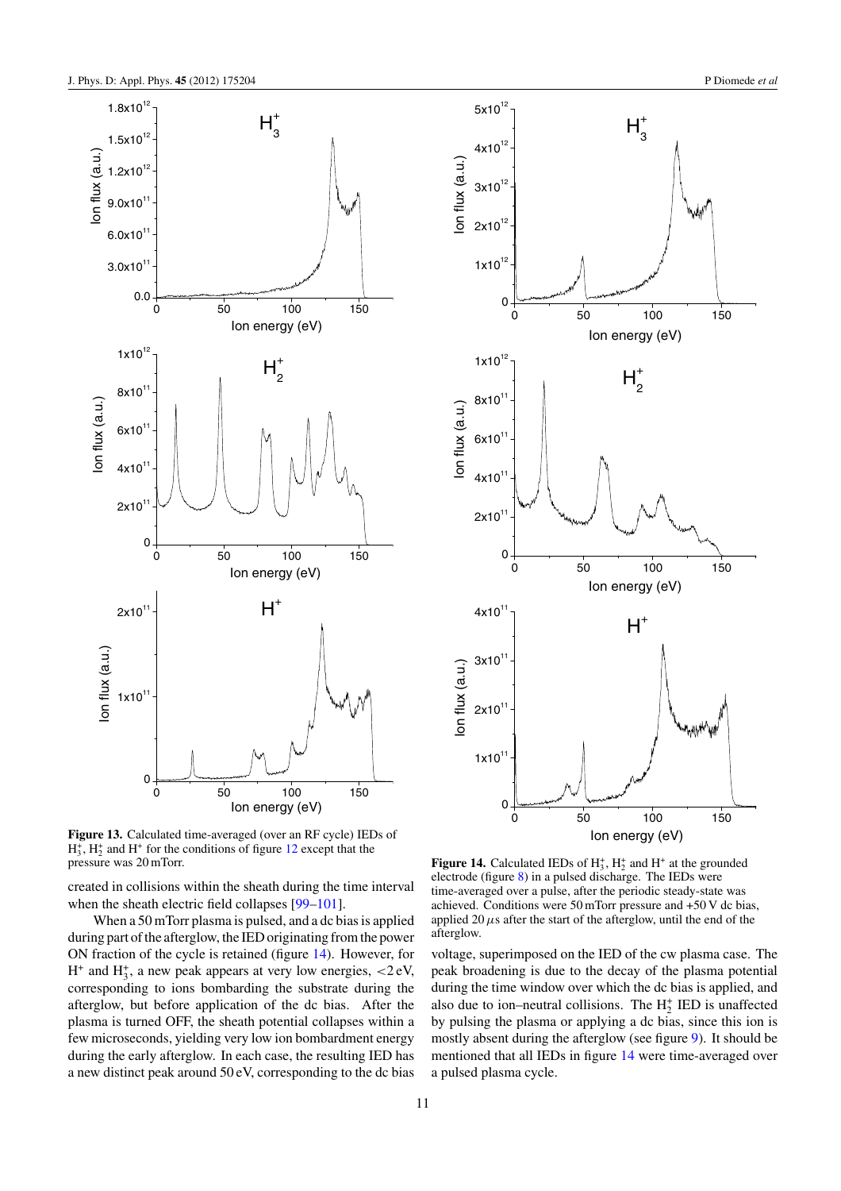<span id="page-10-0"></span>



created in collisions within the sheath during the time interval when the sheath electric field collapses [\[99–101\]](#page-13-0).

When a 50 mTorr plasma is pulsed, and a dc bias is applied during part of the afterglow, the IED originating from the power ON fraction of the cycle is retained (figure 14). However, for H<sup>+</sup> and H<sup>+</sup> <sup>3</sup> , a new peak appears at very low energies, *<*2 eV, corresponding to ions bombarding the substrate during the afterglow, but before application of the dc bias. After the plasma is turned OFF, the sheath potential collapses within a few microseconds, yielding very low ion bombardment energy during the early afterglow. In each case, the resulting IED has a new distinct peak around 50 eV, corresponding to the dc bias





 $2x10^{12}$ 

 $3x10^{12}$ 

Ion flux (a.u.)

lon flux (a.u.)

4x10

 $5x10^{12}$ 

**Figure 14.** Calculated IEDs of  $H_3^*$ ,  $H_2^*$  and  $H^*$  at the grounded electrode (figure [8\)](#page-6-0) in a pulsed discharge. The IEDs were time-averaged over a pulse, after the periodic steady-state was achieved. Conditions were 50 mTorr pressure and +50 V dc bias, applied 20  $\mu$ s after the start of the afterglow, until the end of the afterglow.

voltage, superimposed on the IED of the cw plasma case. The peak broadening is due to the decay of the plasma potential during the time window over which the dc bias is applied, and also due to ion–neutral collisions. The  $H_2^+$  IED is unaffected by pulsing the plasma or applying a dc bias, since this ion is mostly absent during the afterglow (see figure [9\)](#page-7-0). It should be mentioned that all IEDs in figure 14 were time-averaged over a pulsed plasma cycle.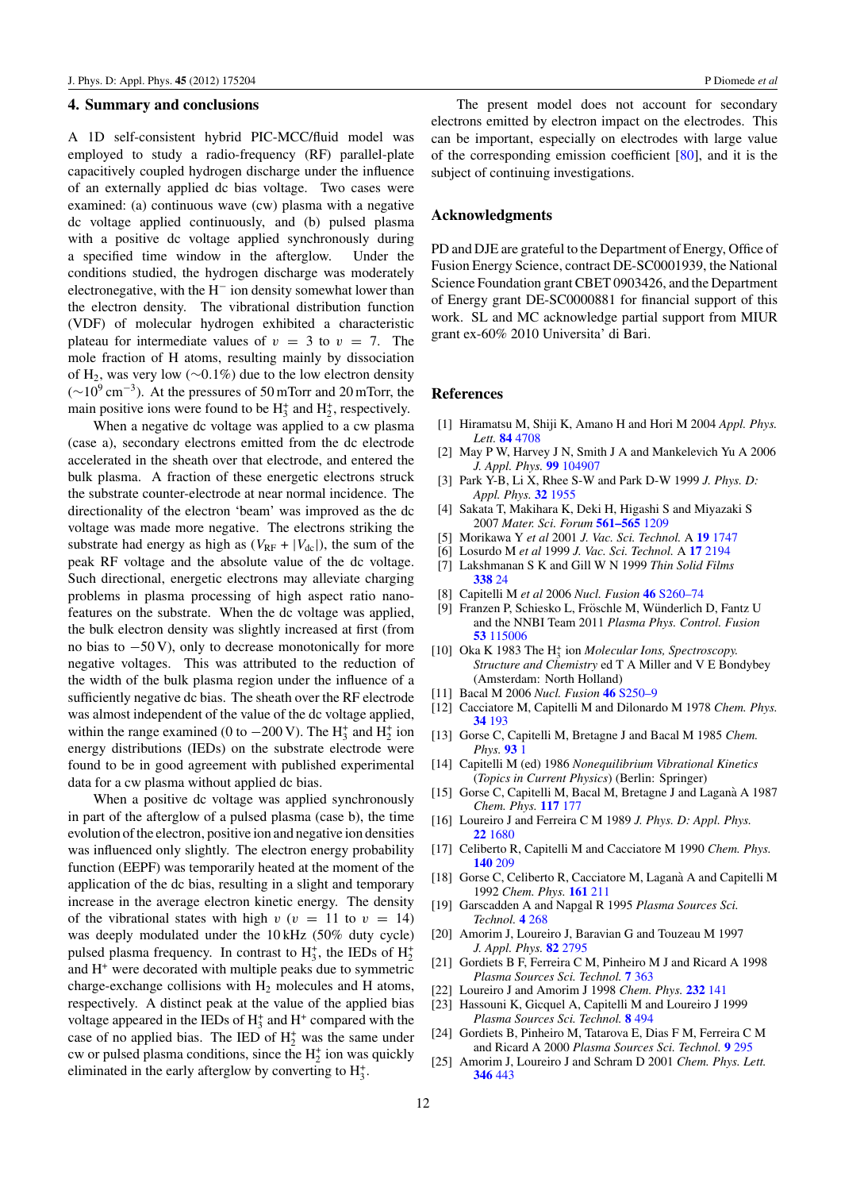## <span id="page-11-0"></span>**4. Summary and conclusions**

A 1D self-consistent hybrid PIC-MCC/fluid model was employed to study a radio-frequency (RF) parallel-plate capacitively coupled hydrogen discharge under the influence of an externally applied dc bias voltage. Two cases were examined: (a) continuous wave (cw) plasma with a negative dc voltage applied continuously, and (b) pulsed plasma with a positive dc voltage applied synchronously during a specified time window in the afterglow. Under the conditions studied, the hydrogen discharge was moderately electronegative, with the H<sup>−</sup> ion density somewhat lower than the electron density. The vibrational distribution function (VDF) of molecular hydrogen exhibited a characteristic plateau for intermediate values of  $v = 3$  to  $v = 7$ . The mole fraction of H atoms, resulting mainly by dissociation of H2, was very low (∼0*.*1%) due to the low electron density  $(\sim 10^{9} \text{ cm}^{-3})$ . At the pressures of 50 mTorr and 20 mTorr, the main positive ions were found to be  $H_3^+$  and  $H_2^+$ , respectively.

When a negative dc voltage was applied to a cw plasma (case a), secondary electrons emitted from the dc electrode accelerated in the sheath over that electrode, and entered the bulk plasma. A fraction of these energetic electrons struck the substrate counter-electrode at near normal incidence. The directionality of the electron 'beam' was improved as the dc voltage was made more negative. The electrons striking the substrate had energy as high as  $(V_{RF} + |V_{dc}|)$ , the sum of the peak RF voltage and the absolute value of the dc voltage. Such directional, energetic electrons may alleviate charging problems in plasma processing of high aspect ratio nanofeatures on the substrate. When the dc voltage was applied, the bulk electron density was slightly increased at first (from no bias to −50 V), only to decrease monotonically for more negative voltages. This was attributed to the reduction of the width of the bulk plasma region under the influence of a sufficiently negative dc bias. The sheath over the RF electrode was almost independent of the value of the dc voltage applied, within the range examined (0 to  $-200$  V). The  $H_3^+$  and  $H_2^+$  ion energy distributions (IEDs) on the substrate electrode were found to be in good agreement with published experimental data for a cw plasma without applied dc bias.

When a positive dc voltage was applied synchronously in part of the afterglow of a pulsed plasma (case b), the time evolution of the electron, positive ion and negative ion densities was influenced only slightly. The electron energy probability function (EEPF) was temporarily heated at the moment of the application of the dc bias, resulting in a slight and temporary increase in the average electron kinetic energy. The density of the vibrational states with high  $v$  ( $v = 11$  to  $v = 14$ ) was deeply modulated under the 10 kHz (50% duty cycle) pulsed plasma frequency. In contrast to  $H_3^+$ , the IEDs of  $H_2^+$ and H+ were decorated with multiple peaks due to symmetric charge-exchange collisions with  $H_2$  molecules and H atoms, respectively. A distinct peak at the value of the applied bias voltage appeared in the IEDs of  $H_3^+$  and  $H^+$  compared with the case of no applied bias. The IED of  $H_2^+$  was the same under cw or pulsed plasma conditions, since the  $H_2^+$  ion was quickly eliminated in the early afterglow by converting to  $H_3^+$ .

The present model does not account for secondary electrons emitted by electron impact on the electrodes. This can be important, especially on electrodes with large value of the corresponding emission coefficient  $[80]$ , and it is the subject of continuing investigations.

### **Acknowledgments**

PD and DJE are grateful to the Department of Energy, Office of Fusion Energy Science, contract DE-SC0001939, the National Science Foundation grant CBET 0903426, and the Department of Energy grant DE-SC0000881 for financial support of this work. SL and MC acknowledge partial support from MIUR grant ex-60% 2010 Universita' di Bari.

## **References**

- [1] Hiramatsu M, Shiji K, Amano H and Hori M 2004 *Appl. Phys. Lett.* **84** [4708](http://dx.doi.org/10.1063/1.1762702)
- [2] May P W, Harvey J N, Smith J A and Mankelevich Yu A 2006 *J. Appl. Phys.* **99** [104907](http://dx.doi.org/10.1063/1.2195347)
- [3] Park Y-B, Li X, Rhee S-W and Park D-W 1999 *J. Phys. D: Appl. Phys.* **32** [1955](http://dx.doi.org/10.1088/0022-3727/32/16/302)
- [4] Sakata T, Makihara K, Deki H, Higashi S and Miyazaki S 2007 *Mater. Sci. Forum* **[561–565](http://dx.doi.org/10.4028/www.scientific.net/MSF.561-565.1209)** 1209
- [5] Morikawa Y *et al* 2001 *J. Vac. Sci. Technol.* A **19** [1747](http://dx.doi.org/10.1116/1.1355362)
- [6] Losurdo M *et al* 1999 *J. Vac. Sci. Technol.* A **17** [2194](http://dx.doi.org/10.1116/1.581747)
- [7] Lakshmanan S K and Gill W N 1999 *Thin Solid Films* **[338](http://dx.doi.org/10.1016/S0040-6090(98)00958-4)** 24
- [8] Capitelli M *et al* 2006 *Nucl. Fusion* **46** [S260–74](http://dx.doi.org/10.1088/0029-5515/46/6/S06)
- [9] Franzen P, Schiesko L, Fröschle M, Wünderlich D, Fantz U and the NNBI Team 2011 *Plasma Phys. Control. Fusion* **53** [115006](http://dx.doi.org/10.1088/0741-3335/53/11/115006)
- [10] Oka K 1983 The H<sup>+</sup> <sup>3</sup> ion *Molecular Ions, Spectroscopy. Structure and Chemistry* ed T A Miller and V E Bondybey (Amsterdam: North Holland)
- [11] Bacal M 2006 *Nucl. Fusion* **46** [S250–9](http://dx.doi.org/10.1088/0029-5515/46/6/S05)
- [12] Cacciatore M, Capitelli M and Dilonardo M 1978 *Chem. Phys.* **34** [193](http://dx.doi.org/10.1016/0301-0104(78)80035-4)
- [13] Gorse C, Capitelli M, Bretagne J and Bacal M 1985 *Chem. Phys.* **[93](http://dx.doi.org/10.1016/0301-0104(85)85044-8)** 1
- [14] Capitelli M (ed) 1986 *Nonequilibrium Vibrational Kinetics* (*Topics in Current Physics*) (Berlin: Springer)
- [15] Gorse C, Capitelli M, Bacal M, Bretagne J and Laganà A 1987 *Chem. Phys.* **[117](http://dx.doi.org/10.1016/0301-0104(87)80120-9)** 177
- [16] Loureiro J and Ferreira C M 1989 *J. Phys. D: Appl. Phys.* **22** [1680](http://dx.doi.org/10.1088/0022-3727/22/11/017)
- [17] Celiberto R, Capitelli M and Cacciatore M 1990 *Chem. Phys.* **[140](http://dx.doi.org/10.1016/0301-0104(90)87003-T)** 209
- [18] Gorse C, Celiberto R, Cacciatore M, Laganà A and Capitelli M 1992 *Chem. Phys.* **[161](http://dx.doi.org/10.1016/0301-0104(92)80188-2)** 211
- [19] Garscadden A and Napgal R 1995 *Plasma Sources Sci. Technol.* **4** [268](http://dx.doi.org/10.1088/0963-0252/4/2/011)
- [20] Amorim J, Loureiro J, Baravian G and Touzeau M 1997 *J. Appl. Phys.* **82** [2795](http://dx.doi.org/10.1063/1.366110)
- [21] Gordiets B F, Ferreira C M, Pinheiro M J and Ricard A 1998 *Plasma Sources Sci. Technol.* **7** [363](http://dx.doi.org/10.1088/0963-0252/7/3/015)
- [22] Loureiro J and Amorim J 1998 *Chem. Phys.* **[232](http://dx.doi.org/10.1016/S0301-0104(98)00088-3)** 141
- [23] Hassouni K, Gicquel A, Capitelli M and Loureiro J 1999 *Plasma Sources Sci. Technol.* **8** [494](http://dx.doi.org/10.1088/0963-0252/8/3/320)
- [24] Gordiets B, Pinheiro M, Tatarova E, Dias F M, Ferreira C M and Ricard A 2000 *Plasma Sources Sci. Technol.* **9** [295](http://dx.doi.org/10.1088/0963-0252/9/3/307)
- [25] Amorim J, Loureiro J and Schram D 2001 *Chem. Phys. Lett.* **[346](http://dx.doi.org/10.1016/S0009-2614(01)00977-0)** 443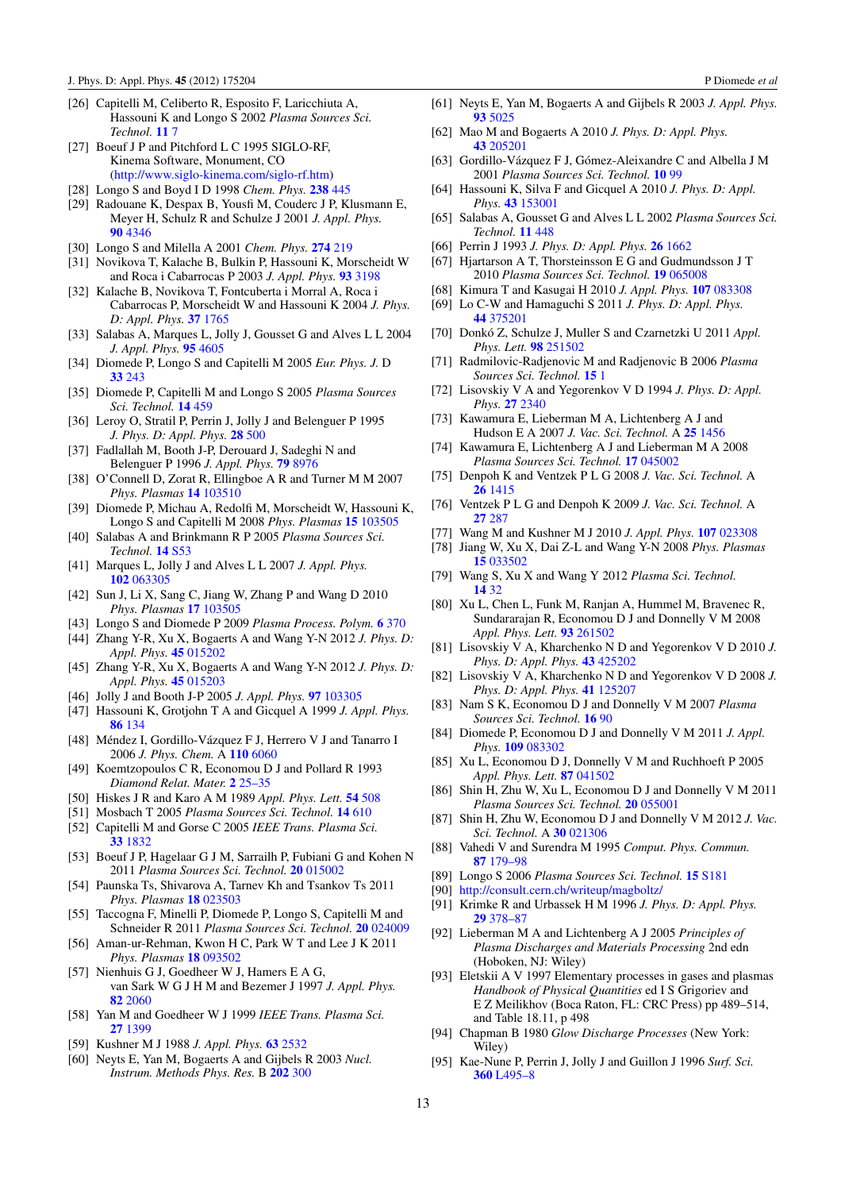- <span id="page-12-0"></span>[26] Capitelli M, Celiberto R, Esposito F, Laricchiuta A, Hassouni K and Longo S 2002 *Plasma Sources Sci. Technol.* **[11](http://dx.doi.org/10.1088/0963-0252/11/3A/302)** 7
- [27] Boeuf J P and Pitchford L C 1995 SIGLO-RF, Kinema Software, Monument, CO [\(http://www.siglo-kinema.com/siglo-rf.htm\)](http://www.siglo-kinema.com/siglo-rf.htm)
- [28] Longo S and Boyd I D 1998 *Chem. Phys.* **[238](http://dx.doi.org/10.1016/S0301-0104(98)00357-7)** 445
- [29] Radouane K, Despax B, Yousfi M, Couderc J P, Klusmann E,
- Meyer H, Schulz R and Schulze J 2001 *J. Appl. Phys.* **90** [4346](http://dx.doi.org/10.1063/1.1389338)
- [30] Longo S and Milella A 2001 *Chem. Phys.* **[274](http://dx.doi.org/10.1016/S0301-0104(01)00511-0)** 219
- [31] Novikova T, Kalache B, Bulkin P, Hassouni K, Morscheidt W and Roca i Cabarrocas P 2003 *J. Appl. Phys.* **93** [3198](http://dx.doi.org/10.1063/1.1555678)
- [32] Kalache B, Novikova T, Fontcuberta i Morral A, Roca i Cabarrocas P, Morscheidt W and Hassouni K 2004 *J. Phys. D: Appl. Phys.* **37** [1765](http://dx.doi.org/10.1088/0022-3727/37/13/007)
- [33] Salabas A, Marques L, Jolly J, Gousset G and Alves L L 2004 *J. Appl. Phys.* **95** [4605](http://dx.doi.org/10.1063/1.1690488)
- [34] Diomede P, Longo S and Capitelli M 2005 *Eur. Phys. J.* D **33** [243](http://dx.doi.org/10.1140/epjd/e2005-00037-5)
- [35] Diomede P, Capitelli M and Longo S 2005 *Plasma Sources Sci. Technol.* **14** [459](http://dx.doi.org/10.1088/0963-0252/14/3/007)
- [36] Leroy O, Stratil P, Perrin J, Jolly J and Belenguer P 1995 *J. Phys. D: Appl. Phys.* **28** [500](http://dx.doi.org/10.1088/0022-3727/28/3/009)
- [37] Fadlallah M, Booth J-P, Derouard J, Sadeghi N and Belenguer P 1996 *J. Appl. Phys.* **79** [8976](http://dx.doi.org/10.1063/1.362629)
- [38] O'Connell D, Zorat R, Ellingboe A R and Turner M M 2007 *Phys. Plasmas* **14** [103510](http://dx.doi.org/10.1063/1.2795634)
- [39] Diomede P, Michau A, Redolfi M, Morscheidt W, Hassouni K, Longo S and Capitelli M 2008 *Phys. Plasmas* **15** [103505](http://dx.doi.org/10.1063/1.3006152)
- [40] Salabas A and Brinkmann R P 2005 *Plasma Sources Sci. Technol.* **14** [S53](http://dx.doi.org/10.1088/0963-0252/14/2/S07)
- [41] Marques L, Jolly J and Alves L L 2007 *J. Appl. Phys.* **102** [063305](http://dx.doi.org/10.1063/1.2779268)
- [42] Sun J, Li X, Sang C, Jiang W, Zhang P and Wang D 2010 *Phys. Plasmas* **17** [103505](http://dx.doi.org/10.1063/1.3495982)
- [43] Longo S and Diomede P 2009 *Plasma Process. Polym.* **6** [370](http://dx.doi.org/10.1002/ppap.200800219)
- [44] Zhang Y-R, Xu X, Bogaerts A and Wang Y-N 2012 *J. Phys. D: Appl. Phys.* **45** [015202](http://dx.doi.org/10.1088/0022-3727/45/1/015202)
- [45] Zhang Y-R, Xu X, Bogaerts A and Wang Y-N 2012 *J. Phys. D: Appl. Phys.* **45** [015203](http://dx.doi.org/10.1088/0022-3727/45/1/015203)
- [46] Jolly J and Booth J-P 2005 *J. Appl. Phys.* **97** [103305](http://dx.doi.org/10.1063/1.1900290)
- [47] Hassouni K, Grotjohn T A and Gicquel A 1999 *J. Appl. Phys.* **86** [134](http://dx.doi.org/10.1063/1.370710)
- [48] Méndez I, Gordillo-Vázquez F J, Herrero V J and Tanarro I 2006 *J. Phys. Chem.* A **110** [6060](http://dx.doi.org/10.1021/jp057182+)
- [49] Koemtzopoulos C R, Economou D J and Pollard R 1993 *Diamond Relat. Mater.* **2** [25–35](http://dx.doi.org/10.1016/0925-9635(93)90138-R)
- [50] Hiskes J R and Karo A M 1989 *Appl. Phys. Lett.* **54** [508](http://dx.doi.org/10.1063/1.100914)
- [51] Mosbach T 2005 *Plasma Sources Sci. Technol.* **14** [610](http://dx.doi.org/10.1088/0963-0252/14/3/026)
- [52] Capitelli M and Gorse C 2005 *IEEE Trans. Plasma Sci.* **33** [1832](http://dx.doi.org/10.1109/TPS.2005.860084)
- [53] Boeuf J P, Hagelaar G J M, Sarrailh P, Fubiani G and Kohen N 2011 *Plasma Sources Sci. Technol.* **20** [015002](http://dx.doi.org/10.1088/0963-0252/20/1/015002)
- [54] Paunska Ts, Shivarova A, Tarnev Kh and Tsankov Ts 2011 *Phys. Plasmas* **18** [023503](http://dx.doi.org/10.1063/1.3553463)
- [55] Taccogna F, Minelli P, Diomede P, Longo S, Capitelli M and Schneider R 2011 *Plasma Sources Sci. Technol.* **20** [024009](http://dx.doi.org/10.1088/0963-0252/20/2/024009)
- [56] Aman-ur-Rehman, Kwon H C, Park W T and Lee J K 2011 *Phys. Plasmas* **18** [093502](http://dx.doi.org/10.1063/1.3630933)
- [57] Nienhuis G J, Goedheer W J, Hamers E A G, van Sark W G J H M and Bezemer J 1997 *J. Appl. Phys.* **82** [2060](http://dx.doi.org/10.1063/1.366016)
- [58] Yan M and Goedheer W J 1999 *IEEE Trans. Plasma Sci.* **27** [1399](http://dx.doi.org/10.1109/27.799818)
- [59] Kushner M J 1988 *J. Appl. Phys.* **63** [2532](http://dx.doi.org/10.1063/1.340989)
- [60] Neyts E, Yan M, Bogaerts A and Gijbels R 2003 *Nucl. Instrum. Methods Phys. Res.* B **[202](http://dx.doi.org/10.1016/S0168-583X(02)01873-6)** 300
- [61] Neyts E, Yan M, Bogaerts A and Gijbels R 2003 *J. Appl. Phys.* **93** [5025](http://dx.doi.org/10.1063/1.1563820)
- [62] Mao M and Bogaerts A 2010 *J. Phys. D: Appl. Phys.* **43** [205201](http://dx.doi.org/10.1088/0022-3727/43/20/205201)
- [63] Gordillo-Vázquez F J, Gómez-Aleixandre C and Albella J M 2001 *Plasma Sources Sci. Technol.* **[10](http://dx.doi.org/10.1088/0963-0252/10/1/313)** 99
- [64] Hassouni K, Silva F and Gicquel A 2010 *J. Phys. D: Appl. Phys.* **43** [153001](http://dx.doi.org/10.1088/0022-3727/43/15/153001)
- [65] Salabas A, Gousset G and Alves L L 2002 *Plasma Sources Sci. Technol.* **11** [448](http://dx.doi.org/10.1088/0963-0252/11/4/312)
- [66] Perrin J 1993 *J. Phys. D: Appl. Phys.* **26** [1662](http://dx.doi.org/10.1088/0022-3727/26/10/018)
- [67] Hjartarson A T, Thorsteinsson E G and Gudmundsson J T 2010 *Plasma Sources Sci. Technol.* **19** [065008](http://dx.doi.org/10.1088/0963-0252/19/6/065008)
- [68] Kimura T and Kasugai H 2010 *J. Appl. Phys.* **107** [083308](http://dx.doi.org/10.1063/1.3345084)
- [69] Lo C-W and Hamaguchi S 2011 *J. Phys. D: Appl. Phys.* **44** [375201](http://dx.doi.org/10.1088/0022-3727/44/37/375201)
- [70] Donkó Z, Schulze J, Muller S and Czarnetzki U 2011 Appl. *Phys. Lett.* **98** [251502](http://dx.doi.org/10.1063/1.3601486)
- [71] Radmilovic-Radjenovic M and Radjenovic B 2006 *Plasma Sources Sci. Technol.* **[15](http://dx.doi.org/10.1088/0963-0252/15/1/001)** 1
- [72] Lisovskiy V A and Yegorenkov V D 1994 *J. Phys. D: Appl. Phys.* **27** [2340](http://dx.doi.org/10.1088/0022-3727/27/11/014)
- [73] Kawamura E, Lieberman M A, Lichtenberg A J and Hudson E A 2007 *J. Vac. Sci. Technol.* A **25** [1456](http://dx.doi.org/10.1116/1.2771561)
- [74] Kawamura E, Lichtenberg A J and Lieberman M A 2008 *Plasma Sources Sci. Technol.* **17** [045002](http://dx.doi.org/10.1088/0963-0252/17/4/045002)
- [75] Denpoh K and Ventzek P L G 2008 *J. Vac. Sci. Technol.* A **26** [1415](http://dx.doi.org/10.1116/1.2981064)
- [76] Ventzek P L G and Denpoh K 2009 *J. Vac. Sci. Technol.* A **27** [287](http://dx.doi.org/10.1116/1.3072922)
- [77] Wang M and Kushner M J 2010 *J. Appl. Phys.* **107** [023308](http://dx.doi.org/10.1063/1.3290870)
- [78] Jiang W, Xu X, Dai Z-L and Wang Y-N 2008 *Phys. Plasmas* **15** [033502](http://dx.doi.org/10.1063/1.2888516)
- [79] Wang S, Xu X and Wang Y 2012 *Plasma Sci. Technol.* **[14](http://dx.doi.org/10.1088/1009-0630/14/1/08)** 32
- [80] Xu L, Chen L, Funk M, Ranjan A, Hummel M, Bravenec R, Sundararajan R, Economou D J and Donnelly V M 2008 *Appl. Phys. Lett.* **93** [261502](http://dx.doi.org/10.1063/1.3062853)
- [81] Lisovskiy V A, Kharchenko N D and Yegorenkov V D 2010 *J. Phys. D: Appl. Phys.* **43** [425202](http://dx.doi.org/10.1088/0022-3727/43/42/425202)
- [82] Lisovskiy V A, Kharchenko N D and Yegorenkov V D 2008 *J. Phys. D: Appl. Phys.* **41** [125207](http://dx.doi.org/10.1088/0022-3727/41/12/125207)
- [83] Nam S K, Economou D J and Donnelly V M 2007 *Plasma Sources Sci. Technol.* **[16](http://dx.doi.org/10.1088/0963-0252/16/1/012)** 90
- [84] Diomede P, Economou D J and Donnelly V M 2011 *J. Appl. Phys.* **109** [083302](http://dx.doi.org/10.1063/1.3573488)
- [85] Xu L, Economou D J, Donnelly V M and Ruchhoeft P 2005 *Appl. Phys. Lett.* **87** [041502](http://dx.doi.org/10.1063/1.2001129)
- [86] Shin H, Zhu W, Xu L, Economou D J and Donnelly V M 2011 *Plasma Sources Sci. Technol.* **20** [055001](http://dx.doi.org/10.1088/0963-0252/20/5/055001)
- [87] Shin H, Zhu W, Economou D J and Donnelly V M 2012 *J. Vac. Sci. Technol.* A **30** [021306](http://dx.doi.org/10.1116/1.3681285)
- [88] Vahedi V and Surendra M 1995 *Comput. Phys. Commun.* **87** [179–98](http://dx.doi.org/10.1016/0010-4655(94)00171-W)
- [89] Longo S 2006 *Plasma Sources Sci. Technol.* **15** [S181](http://dx.doi.org/10.1088/0963-0252/15/4/S04)
- [90] <http://consult.cern.ch/writeup/magboltz/>
- [91] Krimke R and Urbassek H M 1996 *J. Phys. D: Appl. Phys.* **29** [378–87](http://dx.doi.org/10.1088/0022-3727/29/2/014)
- [92] Lieberman M A and Lichtenberg A J 2005 *Principles of Plasma Discharges and Materials Processing* 2nd edn (Hoboken, NJ: Wiley)
- [93] Eletskii A V 1997 Elementary processes in gases and plasmas *Handbook of Physical Quantities* ed I S Grigoriev and E Z Meilikhov (Boca Raton, FL: CRC Press) pp 489–514, and Table 18.11, p 498
- [94] Chapman B 1980 *Glow Discharge Processes* (New York: Wiley)
- [95] Kae-Nune P, Perrin J, Jolly J and Guillon J 1996 *Surf. Sci.* **360** [L495–8](http://dx.doi.org/10.1016/0039-6028(96)00732-7)